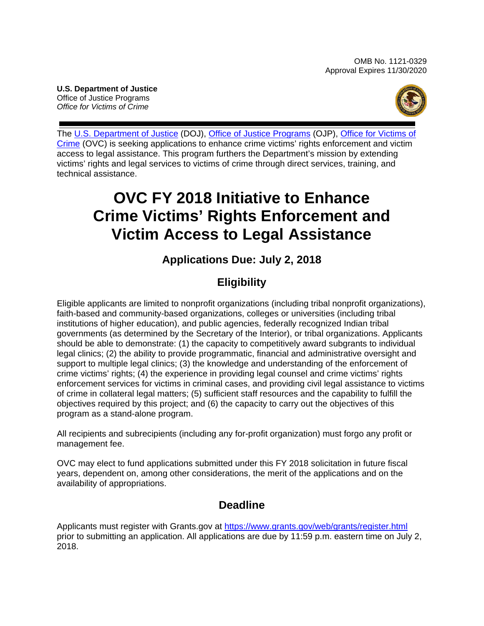**U.S. Department of Justice** Office of Justice Programs *Office for Victims of Crime*



The U.S. [Department of Justice](https://www.usdoj.gov/) (DOJ), [Office of Justice Programs](https://ojp.gov/) (OJP), Office for Victims of [Crime](https://ovc.gov/) (OVC) is seeking applications to enhance crime victims' rights enforcement and victim access to legal assistance. This program furthers the Department's mission by extending victims' rights and legal services to victims of crime through direct services, training, and technical assistance.

# **OVC FY 2018 Initiative to Enhance Crime Victims' Rights Enforcement and Victim Access to Legal Assistance**

## **Applications Due: July 2, 2018**

## **Eligibility**

Eligible applicants are limited to nonprofit organizations (including tribal nonprofit organizations), faith-based and community-based organizations, colleges or universities (including tribal institutions of higher education), and public agencies, federally recognized Indian tribal governments (as determined by the Secretary of the Interior), or tribal organizations. Applicants should be able to demonstrate: (1) the capacity to competitively award subgrants to individual legal clinics; (2) the ability to provide programmatic, financial and administrative oversight and support to multiple legal clinics; (3) the knowledge and understanding of the enforcement of crime victims' rights; (4) the experience in providing legal counsel and crime victims' rights enforcement services for victims in criminal cases, and providing civil legal assistance to victims of crime in collateral legal matters; (5) sufficient staff resources and the capability to fulfill the objectives required by this project; and (6) the capacity to carry out the objectives of this program as a stand-alone program.

All recipients and subrecipients (including any for-profit organization) must forgo any profit or management fee.

OVC may elect to fund applications submitted under this FY 2018 solicitation in future fiscal years, dependent on, among other considerations, the merit of the applications and on the availability of appropriations.

## **Deadline**

Applicants must register with Grants.gov at <https://www.grants.gov/web/grants/register.html> prior to submitting an application. All applications are due by 11:59 p.m. eastern time on July 2, 2018.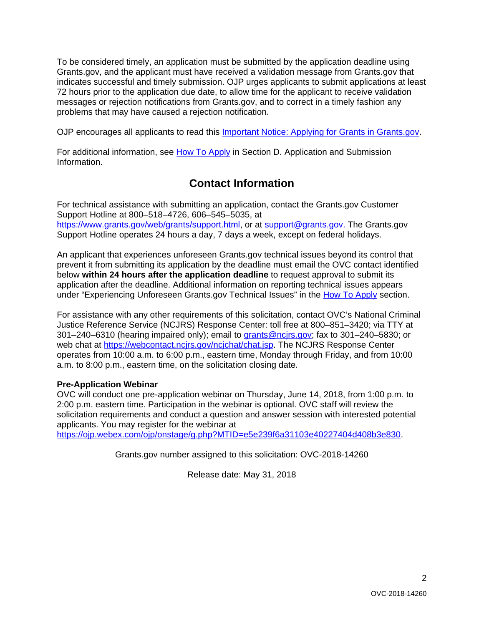To be considered timely, an application must be submitted by the application deadline using Grants.gov, and the applicant must have received a validation message from Grants.gov that indicates successful and timely submission. OJP urges applicants to submit applications at least 72 hours prior to the application due date, to allow time for the applicant to receive validation messages or rejection notifications from Grants.gov, and to correct in a timely fashion any problems that may have caused a rejection notification.

OJP encourages all applicants to read this [Important Notice: Applying for Grants in Grants.gov.](https://ojp.gov/funding/Apply/Grants-govInfo.htm)

For additional information, see How [To Apply](#page-21-0) in Section D. Application and Submission [Information.](#page-9-0)

## **Contact Information**

For technical assistance with submitting an application, contact the Grants.gov Customer Support Hotline at 800–518–4726, 606–545–5035, at [https://www.grants.gov/web/grants/support.html,](https://www.grants.gov/web/grants/support.html) or at [support@grants.gov.](mailto:support@grants.gov) The Grants.gov Support Hotline operates 24 hours a day, 7 days a week, except on federal holidays.

An applicant that experiences unforeseen Grants.gov technical issues beyond its control that prevent it from submitting its application by the deadline must email the OVC contact identified below **within 24 hours after the application deadline** to request approval to submit its application after the deadline. Additional information on reporting technical issues appears under "Experiencing Unforeseen Grants.gov Technical Issues" in the [How To Apply](#page-21-0) section.

For assistance with any other requirements of this solicitation, contact OVC's National Criminal Justice Reference Service (NCJRS) Response Center: toll free at 800–851–3420; via TTY at 301–240–6310 (hearing impaired only); email to [grants@ncjrs.gov;](mailto:grants@ncjrs.gov) fax to 301–240–5830; or web chat at [https://webcontact.ncjrs.gov/ncjchat/chat.jsp.](https://webcontact.ncjrs.gov/ncjchat/chat.jsp) The NCJRS Response Center operates from 10:00 a.m. to 6:00 p.m., eastern time, Monday through Friday, and from 10:00 a.m. to 8:00 p.m., eastern time, on the solicitation closing date*.*

#### **Pre-Application Webinar**

OVC will conduct one pre-application webinar on Thursday, June 14, 2018, from 1:00 p.m. to 2:00 p.m. eastern time. Participation in the webinar is optional. OVC staff will review the solicitation requirements and conduct a question and answer session with interested potential applicants. You may register for the webinar at https://oip.webex.com/ojp/onstage/g.php?MTID=e5e239f6a31103e40227404d408b3e830.

Grants.gov number assigned to this solicitation: OVC-2018-14260

Release date: May 31, 2018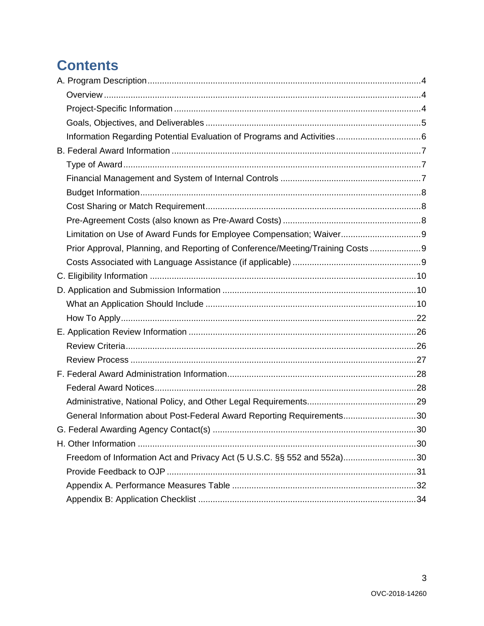# **Contents**

| Limitation on Use of Award Funds for Employee Compensation; Waiver 9            |  |
|---------------------------------------------------------------------------------|--|
| Prior Approval, Planning, and Reporting of Conference/Meeting/Training Costs  9 |  |
|                                                                                 |  |
|                                                                                 |  |
|                                                                                 |  |
|                                                                                 |  |
|                                                                                 |  |
|                                                                                 |  |
|                                                                                 |  |
|                                                                                 |  |
|                                                                                 |  |
|                                                                                 |  |
|                                                                                 |  |
| General Information about Post-Federal Award Reporting Requirements30           |  |
|                                                                                 |  |
|                                                                                 |  |
| Freedom of Information Act and Privacy Act (5 U.S.C. §§ 552 and 552a)30         |  |
|                                                                                 |  |
|                                                                                 |  |
|                                                                                 |  |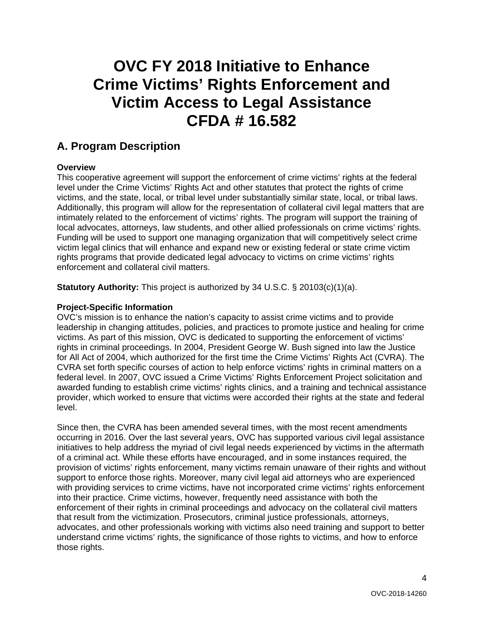## **OVC FY 2018 Initiative to Enhance Crime Victims' Rights Enforcement and Victim Access to Legal Assistance CFDA # 16.582**

## <span id="page-3-0"></span>**A. Program Description**

#### <span id="page-3-1"></span>**Overview**

This cooperative agreement will support the enforcement of crime victims' rights at the federal level under the Crime Victims' Rights Act and other statutes that protect the rights of crime victims, and the state, local, or tribal level under substantially similar state, local, or tribal laws. Additionally, this program will allow for the representation of collateral civil legal matters that are intimately related to the enforcement of victims' rights. The program will support the training of local advocates, attorneys, law students, and other allied professionals on crime victims' rights. Funding will be used to support one managing organization that will competitively select crime victim legal clinics that will enhance and expand new or existing federal or state crime victim rights programs that provide dedicated legal advocacy to victims on crime victims' rights enforcement and collateral civil matters.

**Statutory Authority:** This project is authorized by 34 U.S.C. § 20103(c)(1)(a).

#### <span id="page-3-2"></span>**Project-Specific Information**

OVC's mission is to enhance the nation's capacity to assist crime victims and to provide leadership in changing attitudes, policies, and practices to promote justice and healing for crime victims. As part of this mission, OVC is dedicated to supporting the enforcement of victims' rights in criminal proceedings. In 2004, President George W. Bush signed into law the Justice for All Act of 2004, which authorized for the first time the Crime Victims' Rights Act (CVRA). The CVRA set forth specific courses of action to help enforce victims' rights in criminal matters on a federal level. In 2007, OVC issued a Crime Victims' Rights Enforcement Project solicitation and awarded funding to establish crime victims' rights clinics, and a training and technical assistance provider, which worked to ensure that victims were accorded their rights at the state and federal level.

Since then, the CVRA has been amended several times, with the most recent amendments occurring in 2016. Over the last several years, OVC has supported various civil legal assistance initiatives to help address the myriad of civil legal needs experienced by victims in the aftermath of a criminal act. While these efforts have encouraged, and in some instances required, the provision of victims' rights enforcement, many victims remain unaware of their rights and without support to enforce those rights. Moreover, many civil legal aid attorneys who are experienced with providing services to crime victims, have not incorporated crime victims' rights enforcement into their practice. Crime victims, however, frequently need assistance with both the enforcement of their rights in criminal proceedings and advocacy on the collateral civil matters that result from the victimization. Prosecutors, criminal justice professionals, attorneys, advocates, and other professionals working with victims also need training and support to better understand crime victims' rights, the significance of those rights to victims, and how to enforce those rights.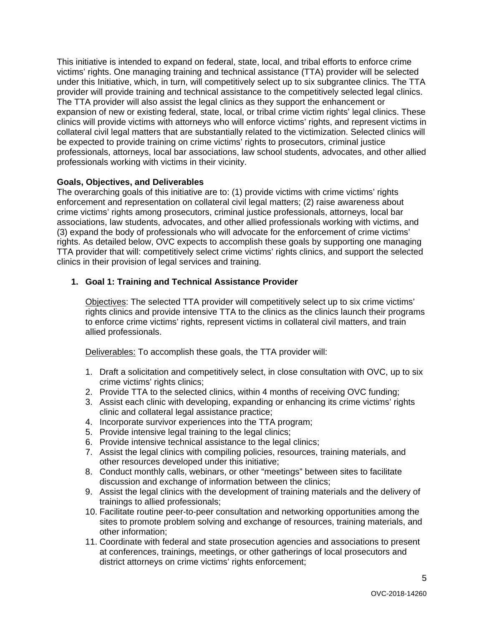This initiative is intended to expand on federal, state, local, and tribal efforts to enforce crime victims' rights. One managing training and technical assistance (TTA) provider will be selected under this Initiative, which, in turn, will competitively select up to six subgrantee clinics. The TTA provider will provide training and technical assistance to the competitively selected legal clinics. The TTA provider will also assist the legal clinics as they support the enhancement or expansion of new or existing federal, state, local, or tribal crime victim rights' legal clinics. These clinics will provide victims with attorneys who will enforce victims' rights, and represent victims in collateral civil legal matters that are substantially related to the victimization. Selected clinics will be expected to provide training on crime victims' rights to prosecutors, criminal justice professionals, attorneys, local bar associations, law school students, advocates, and other allied professionals working with victims in their vicinity.

#### <span id="page-4-0"></span>**Goals, Objectives, and Deliverables**

The overarching goals of this initiative are to: (1) provide victims with crime victims' rights enforcement and representation on collateral civil legal matters; (2) raise awareness about crime victims' rights among prosecutors, criminal justice professionals, attorneys, local bar associations, law students, advocates, and other allied professionals working with victims, and (3) expand the body of professionals who will advocate for the enforcement of crime victims' rights. As detailed below, OVC expects to accomplish these goals by supporting one managing TTA provider that will: competitively select crime victims' rights clinics, and support the selected clinics in their provision of legal services and training.

#### **1. Goal 1: Training and Technical Assistance Provider**

Objectives: The selected TTA provider will competitively select up to six crime victims' rights clinics and provide intensive TTA to the clinics as the clinics launch their programs to enforce crime victims' rights, represent victims in collateral civil matters, and train allied professionals.

Deliverables: To accomplish these goals, the TTA provider will:

- 1. Draft a solicitation and competitively select, in close consultation with OVC, up to six crime victims' rights clinics;
- 2. Provide TTA to the selected clinics, within 4 months of receiving OVC funding;
- 3. Assist each clinic with developing, expanding or enhancing its crime victims' rights clinic and collateral legal assistance practice;
- 4. Incorporate survivor experiences into the TTA program;
- 5. Provide intensive legal training to the legal clinics;
- 6. Provide intensive technical assistance to the legal clinics;
- 7. Assist the legal clinics with compiling policies, resources, training materials, and other resources developed under this initiative;
- 8. Conduct monthly calls, webinars, or other "meetings" between sites to facilitate discussion and exchange of information between the clinics;
- 9. Assist the legal clinics with the development of training materials and the delivery of trainings to allied professionals;
- 10. Facilitate routine peer-to-peer consultation and networking opportunities among the sites to promote problem solving and exchange of resources, training materials, and other information;
- 11. Coordinate with federal and state prosecution agencies and associations to present at conferences, trainings, meetings, or other gatherings of local prosecutors and district attorneys on crime victims' rights enforcement;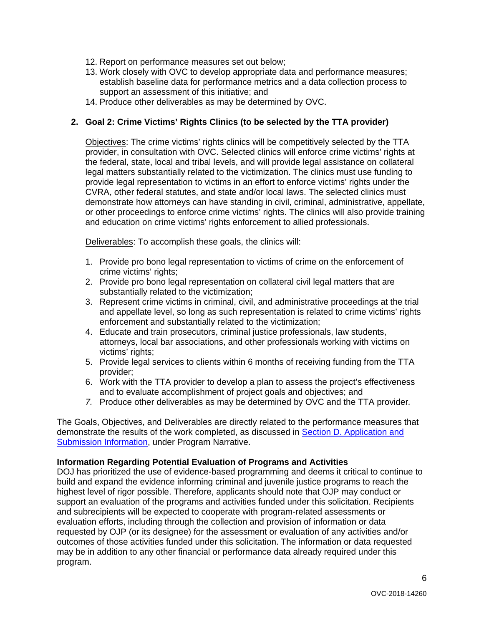- 12. Report on performance measures set out below;
- 13. Work closely with OVC to develop appropriate data and performance measures; establish baseline data for performance metrics and a data collection process to support an assessment of this initiative; and
- 14. Produce other deliverables as may be determined by OVC.

#### **2. Goal 2: Crime Victims' Rights Clinics (to be selected by the TTA provider)**

Objectives: The crime victims' rights clinics will be competitively selected by the TTA provider, in consultation with OVC. Selected clinics will enforce crime victims' rights at the federal, state, local and tribal levels, and will provide legal assistance on collateral legal matters substantially related to the victimization. The clinics must use funding to provide legal representation to victims in an effort to enforce victims' rights under the CVRA, other federal statutes, and state and/or local laws. The selected clinics must demonstrate how attorneys can have standing in civil, criminal, administrative, appellate, or other proceedings to enforce crime victims' rights. The clinics will also provide training and education on crime victims' rights enforcement to allied professionals.

Deliverables: To accomplish these goals, the clinics will:

- 1. Provide pro bono legal representation to victims of crime on the enforcement of crime victims' rights;
- 2. Provide pro bono legal representation on collateral civil legal matters that are substantially related to the victimization;
- 3. Represent crime victims in criminal, civil, and administrative proceedings at the trial and appellate level, so long as such representation is related to crime victims' rights enforcement and substantially related to the victimization;
- 4. Educate and train prosecutors, criminal justice professionals, law students, attorneys, local bar associations, and other professionals working with victims on victims' rights;
- 5. Provide legal services to clients within 6 months of receiving funding from the TTA provider;
- 6. Work with the TTA provider to develop a plan to assess the project's effectiveness and to evaluate accomplishment of project goals and objectives; and
- *7.* Produce other deliverables as may be determined by OVC and the TTA provider*.*

The Goals, Objectives, and Deliverables are directly related to the performance measures that demonstrate the results of the work completed, as discussed in [Section D. Application and](#page-9-0)  [Submission Information,](#page-9-0) under Program Narrative.

#### <span id="page-5-0"></span>**Information Regarding Potential Evaluation of Programs and Activities**

DOJ has prioritized the use of evidence-based programming and deems it critical to continue to build and expand the evidence informing criminal and juvenile justice programs to reach the highest level of rigor possible. Therefore, applicants should note that OJP may conduct or support an evaluation of the programs and activities funded under this solicitation. Recipients and subrecipients will be expected to cooperate with program-related assessments or evaluation efforts, including through the collection and provision of information or data requested by OJP (or its designee) for the assessment or evaluation of any activities and/or outcomes of those activities funded under this solicitation. The information or data requested may be in addition to any other financial or performance data already required under this program.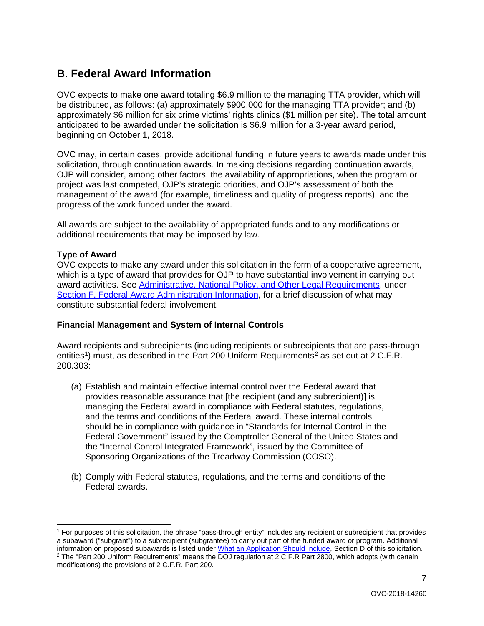## <span id="page-6-0"></span>**B. Federal Award Information**

OVC expects to make one award totaling \$6.9 million to the managing TTA provider, which will be distributed, as follows: (a) approximately \$900,000 for the managing TTA provider; and (b) approximately \$6 million for six crime victims' rights clinics (\$1 million per site). The total amount anticipated to be awarded under the solicitation is \$6.9 million for a 3-year award period, beginning on October 1, 2018.

OVC may, in certain cases, provide additional funding in future years to awards made under this solicitation, through continuation awards. In making decisions regarding continuation awards, OJP will consider, among other factors, the availability of appropriations, when the program or project was last competed, OJP's strategic priorities, and OJP's assessment of both the management of the award (for example, timeliness and quality of progress reports), and the progress of the work funded under the award.

All awards are subject to the availability of appropriated funds and to any modifications or additional requirements that may be imposed by law.

#### <span id="page-6-1"></span>**Type of Award**

OVC expects to make any award under this solicitation in the form of a cooperative agreement, which is a type of award that provides for OJP to have substantial involvement in carrying out award activities. See [Administrative, National Policy, and Other Legal Requirements,](#page-28-0) under [Section F. Federal Award Administration Information,](#page-27-0) for a brief discussion of what may constitute substantial federal involvement.

#### <span id="page-6-2"></span>**Financial Management and System of Internal Controls**

Award recipients and subrecipients (including recipients or subrecipients that are pass-through entities<sup>[1](#page-6-3)</sup>) must, as described in the Part [2](#page-6-4)00 Uniform Requirements<sup>2</sup> as set out at 2 C.F.R. 200.303:

- (a) Establish and maintain effective internal control over the Federal award that provides reasonable assurance that [the recipient (and any subrecipient)] is managing the Federal award in compliance with Federal statutes, regulations, and the terms and conditions of the Federal award. These internal controls should be in compliance with guidance in "Standards for Internal Control in the Federal Government" issued by the Comptroller General of the United States and the "Internal Control Integrated Framework", issued by the Committee of Sponsoring Organizations of the Treadway Commission (COSO).
- (b) Comply with Federal statutes, regulations, and the terms and conditions of the Federal awards.

<span id="page-6-4"></span><span id="page-6-3"></span> <sup>1</sup> For purposes of this solicitation, the phrase "pass-through entity" includes any recipient or subrecipient that provides a subaward ("subgrant") to a subrecipient (subgrantee) to carry out part of the funded award or program. Additional information on proposed subawards is listed unde[r What an Application Should Include,](#page-9-2) Section D of this solicitation. <sup>2</sup> The "Part 200 Uniform Requirements" means the DOJ regulation at 2 C.F.R Part 2800, which adopts (with certain modifications) the provisions of 2 C.F.R. Part 200.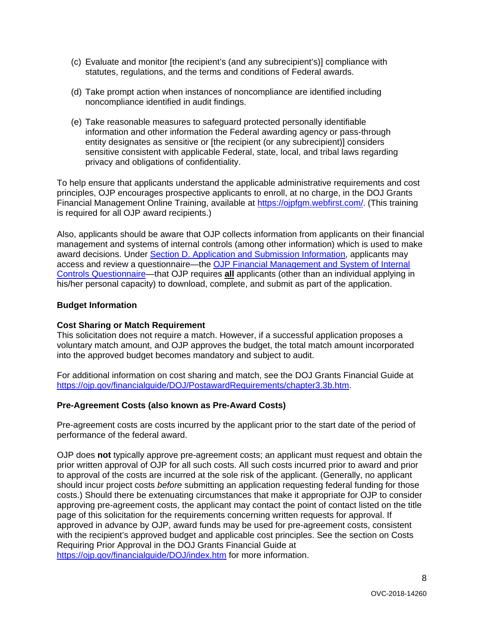- (c) Evaluate and monitor [the recipient's (and any subrecipient's)] compliance with statutes, regulations, and the terms and conditions of Federal awards.
- (d) Take prompt action when instances of noncompliance are identified including noncompliance identified in audit findings.
- (e) Take reasonable measures to safeguard protected personally identifiable information and other information the Federal awarding agency or pass-through entity designates as sensitive or [the recipient (or any subrecipient)] considers sensitive consistent with applicable Federal, state, local, and tribal laws regarding privacy and obligations of confidentiality.

To help ensure that applicants understand the applicable administrative requirements and cost principles, OJP encourages prospective applicants to enroll, at no charge, in the DOJ Grants Financial Management Online Training, available at [https://ojpfgm.webfirst.com/.](https://ojpfgm.webfirst.com/) (This training is required for all OJP award recipients.)

Also, applicants should be aware that OJP collects information from applicants on their financial management and systems of internal controls (among other information) which is used to make award decisions. Under [Section D. Application and Submission Information,](#page-9-0) applicants may access and review a questionnaire—the [OJP Financial Management and System of Internal](https://ojp.gov/funding/Apply/Resources/FinancialCapability.pdf)  [Controls Questionnaire—](https://ojp.gov/funding/Apply/Resources/FinancialCapability.pdf)that OJP requires **all** applicants (other than an individual applying in his/her personal capacity) to download, complete, and submit as part of the application.

#### <span id="page-7-0"></span>**Budget Information**

#### <span id="page-7-1"></span>**Cost Sharing or Match Requirement**

This solicitation does not require a match. However, if a successful application proposes a voluntary match amount, and OJP approves the budget, the total match amount incorporated into the approved budget becomes mandatory and subject to audit.

For additional information on cost sharing and match, see the DOJ Grants Financial Guide at [https://ojp.gov/financialguide/DOJ/PostawardRequirements/chapter3.3b.htm.](https://ojp.gov/financialguide/DOJ/PostawardRequirements/chapter3.3b.htm)

#### <span id="page-7-2"></span>**Pre-Agreement Costs (also known as Pre-Award Costs)**

Pre-agreement costs are costs incurred by the applicant prior to the start date of the period of performance of the federal award.

OJP does **not** typically approve pre-agreement costs; an applicant must request and obtain the prior written approval of OJP for all such costs. All such costs incurred prior to award and prior to approval of the costs are incurred at the sole risk of the applicant. (Generally, no applicant should incur project costs *before* submitting an application requesting federal funding for those costs.) Should there be extenuating circumstances that make it appropriate for OJP to consider approving pre-agreement costs, the applicant may contact the point of contact listed on the title page of this solicitation for the requirements concerning written requests for approval. If approved in advance by OJP, award funds may be used for pre-agreement costs, consistent with the recipient's approved budget and applicable cost principles. See the section on Costs Requiring Prior Approval in the DOJ Grants Financial Guide at <https://ojp.gov/financialguide/DOJ/index.htm> for more information.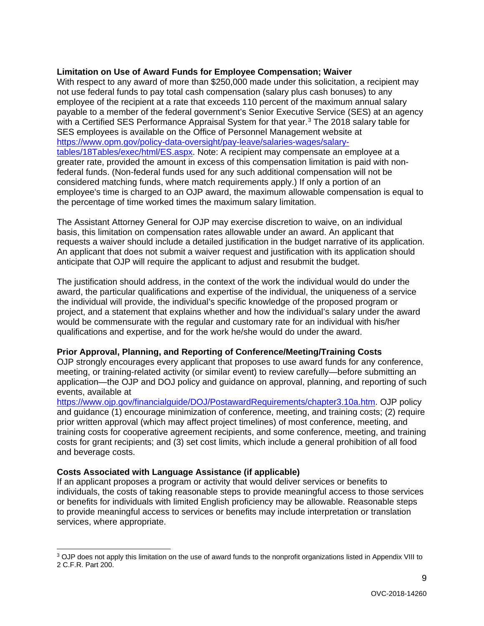#### <span id="page-8-0"></span>**Limitation on Use of Award Funds for Employee Compensation; Waiver**

With respect to any award of more than \$250,000 made under this solicitation, a recipient may not use federal funds to pay total cash compensation (salary plus cash bonuses) to any employee of the recipient at a rate that exceeds 110 percent of the maximum annual salary payable to a member of the federal government's Senior Executive Service (SES) at an agency with a Certified SES Performance Appraisal System for that year.<sup>[3](#page-8-3)</sup> The 2018 salary table for SES employees is available on the Office of Personnel Management website at [https://www.opm.gov/policy-data-oversight/pay-leave/salaries-wages/salary](https://www.opm.gov/policy-data-oversight/pay-leave/salaries-wages/salary-tables/18Tables/exec/html/ES.aspx)[tables/18Tables/exec/html/ES.aspx.](https://www.opm.gov/policy-data-oversight/pay-leave/salaries-wages/salary-tables/18Tables/exec/html/ES.aspx) Note: A recipient may compensate an employee at a greater rate, provided the amount in excess of this compensation limitation is paid with nonfederal funds. (Non-federal funds used for any such additional compensation will not be considered matching funds, where match requirements apply.) If only a portion of an employee's time is charged to an OJP award, the maximum allowable compensation is equal to the percentage of time worked times the maximum salary limitation.

The Assistant Attorney General for OJP may exercise discretion to waive, on an individual basis, this limitation on compensation rates allowable under an award. An applicant that requests a waiver should include a detailed justification in the budget narrative of its application. An applicant that does not submit a waiver request and justification with its application should anticipate that OJP will require the applicant to adjust and resubmit the budget.

The justification should address, in the context of the work the individual would do under the award, the particular qualifications and expertise of the individual, the uniqueness of a service the individual will provide, the individual's specific knowledge of the proposed program or project, and a statement that explains whether and how the individual's salary under the award would be commensurate with the regular and customary rate for an individual with his/her qualifications and expertise, and for the work he/she would do under the award.

#### <span id="page-8-1"></span>**Prior Approval, Planning, and Reporting of Conference/Meeting/Training Costs**

OJP strongly encourages every applicant that proposes to use award funds for any conference, meeting, or training-related activity (or similar event) to review carefully—before submitting an application—the OJP and DOJ policy and guidance on approval, planning, and reporting of such events, available at

[https://www.ojp.gov/financialguide/DOJ/PostawardRequirements/chapter3.10a.htm.](https://www.ojp.gov/financialguide/doj/PostawardRequirements/chapter3.10a.htm) OJP policy and guidance (1) encourage minimization of conference, meeting, and training costs; (2) require prior written approval (which may affect project timelines) of most conference, meeting, and training costs for cooperative agreement recipients, and some conference, meeting, and training costs for grant recipients; and (3) set cost limits, which include a general prohibition of all food and beverage costs.

#### <span id="page-8-2"></span>**Costs Associated with Language Assistance (if applicable)**

If an applicant proposes a program or activity that would deliver services or benefits to individuals, the costs of taking reasonable steps to provide meaningful access to those services or benefits for individuals with limited English proficiency may be allowable. Reasonable steps to provide meaningful access to services or benefits may include interpretation or translation services, where appropriate.

<span id="page-8-3"></span> <sup>3</sup> OJP does not apply this limitation on the use of award funds to the nonprofit organizations listed in Appendix VIII to 2 C.F.R. Part 200.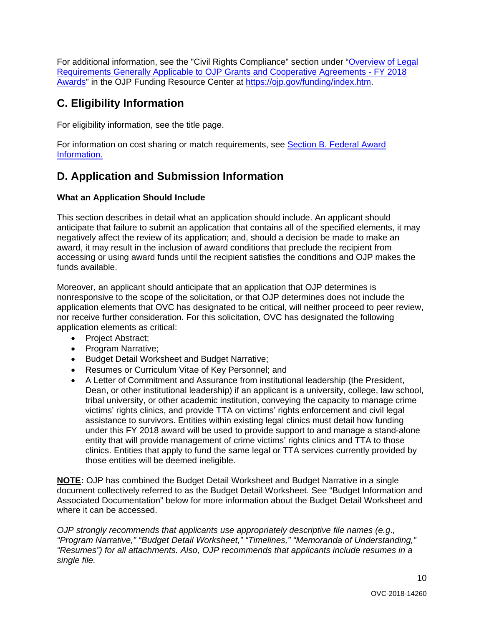For additional information, see the "Civil Rights Compliance" section under ["Overview of Legal](https://ojp.gov/funding/Explore/LegalOverview/index.htm)  [Requirements Generally Applicable to OJP Grants and Cooperative Agreements -](https://ojp.gov/funding/Explore/LegalOverview/index.htm) FY 2018 [Awards"](https://ojp.gov/funding/Explore/LegalOverview/index.htm) in the OJP Funding Resource Center at [https://ojp.gov/funding/index.htm.](https://ojp.gov/funding/index.htm)

## <span id="page-9-1"></span>**C. Eligibility Information**

For eligibility information, see the title page.

For information on cost sharing or match requirements, see Section [B. Federal Award](#page-6-0)  [Information.](#page-6-0)

## <span id="page-9-0"></span>**D. Application and Submission Information**

### <span id="page-9-2"></span>**What an Application Should Include**

This section describes in detail what an application should include. An applicant should anticipate that failure to submit an application that contains all of the specified elements, it may negatively affect the review of its application; and, should a decision be made to make an award, it may result in the inclusion of award conditions that preclude the recipient from accessing or using award funds until the recipient satisfies the conditions and OJP makes the funds available.

Moreover, an applicant should anticipate that an application that OJP determines is nonresponsive to the scope of the solicitation, or that OJP determines does not include the application elements that OVC has designated to be critical, will neither proceed to peer review, nor receive further consideration. For this solicitation, OVC has designated the following application elements as critical:

- Project Abstract;
- Program Narrative;
- Budget Detail Worksheet and Budget Narrative;
- Resumes or Curriculum Vitae of Key Personnel; and
- A Letter of Commitment and Assurance from institutional leadership (the President, Dean, or other institutional leadership) if an applicant is a university, college, law school, tribal university, or other academic institution, conveying the capacity to manage crime victims' rights clinics, and provide TTA on victims' rights enforcement and civil legal assistance to survivors. Entities within existing legal clinics must detail how funding under this FY 2018 award will be used to provide support to and manage a stand-alone entity that will provide management of crime victims' rights clinics and TTA to those clinics. Entities that apply to fund the same legal or TTA services currently provided by those entities will be deemed ineligible.

**NOTE:** OJP has combined the Budget Detail Worksheet and Budget Narrative in a single document collectively referred to as the Budget Detail Worksheet. See "Budget Information and Associated Documentation" below for more information about the Budget Detail Worksheet and where it can be accessed.

*OJP strongly recommends that applicants use appropriately descriptive file names (e.g*.*, "Program Narrative," "Budget Detail Worksheet," "Timelines," "Memoranda of Understanding," "Resumes") for all attachments. Also, OJP recommends that applicants include resumes in a single file.*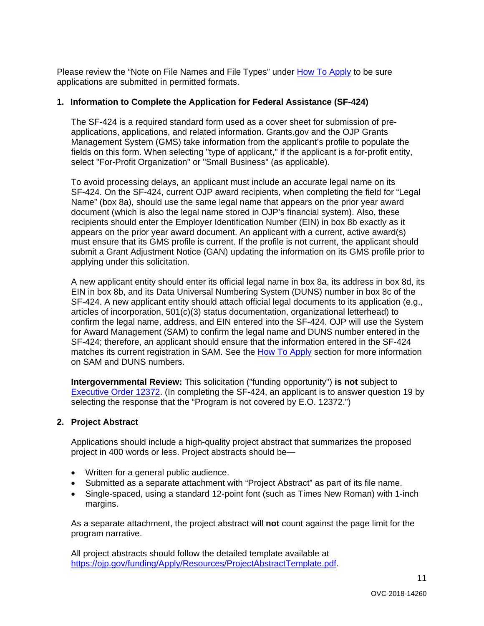Please review the "Note on File Names and File Types" under [How To Apply](#page-21-0) to be sure applications are submitted in permitted formats.

#### **1. Information to Complete the Application for Federal Assistance (SF-424)**

The SF-424 is a required standard form used as a cover sheet for submission of preapplications, applications, and related information. Grants.gov and the OJP Grants Management System (GMS) take information from the applicant's profile to populate the fields on this form. When selecting "type of applicant," if the applicant is a for-profit entity, select "For-Profit Organization" or "Small Business" (as applicable).

To avoid processing delays, an applicant must include an accurate legal name on its SF-424. On the SF-424, current OJP award recipients, when completing the field for "Legal Name" (box 8a), should use the same legal name that appears on the prior year award document (which is also the legal name stored in OJP's financial system). Also, these recipients should enter the Employer Identification Number (EIN) in box 8b exactly as it appears on the prior year award document. An applicant with a current, active award(s) must ensure that its GMS profile is current. If the profile is not current, the applicant should submit a Grant Adjustment Notice (GAN) updating the information on its GMS profile prior to applying under this solicitation.

A new applicant entity should enter its official legal name in box 8a, its address in box 8d, its EIN in box 8b, and its Data Universal Numbering System (DUNS) number in box 8c of the SF-424. A new applicant entity should attach official legal documents to its application (e.g., articles of incorporation, 501(c)(3) status documentation, organizational letterhead) to confirm the legal name, address, and EIN entered into the SF-424. OJP will use the System for Award Management (SAM) to confirm the legal name and DUNS number entered in the SF-424; therefore, an applicant should ensure that the information entered in the SF-424 matches its current registration in SAM. See the [How To Apply](#page-21-0) section for more information on SAM and DUNS numbers.

**Intergovernmental Review:** This solicitation ("funding opportunity") **is not** subject to [Executive Order 12372.](https://www.archives.gov/federal-register/codification/executive-order/12372.html) (In completing the SF-424, an applicant is to answer question 19 by selecting the response that the "Program is not covered by E.O. 12372.")

#### **2. Project Abstract**

Applications should include a high-quality project abstract that summarizes the proposed project in 400 words or less. Project abstracts should be—

- Written for a general public audience.
- Submitted as a separate attachment with "Project Abstract" as part of its file name.
- Single-spaced, using a standard 12-point font (such as Times New Roman) with 1-inch margins.

As a separate attachment, the project abstract will **not** count against the page limit for the program narrative.

All project abstracts should follow the detailed template available at https://oip.gov/funding/Apply/Resources/ProjectAbstractTemplate.pdf.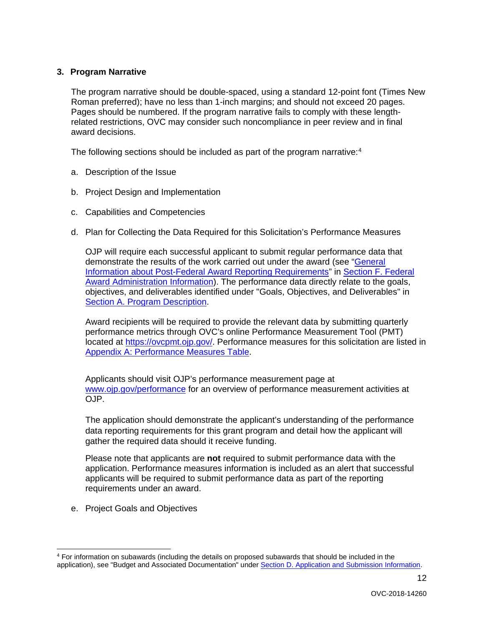#### **3. Program Narrative**

The program narrative should be double-spaced, using a standard 12-point font (Times New Roman preferred); have no less than 1-inch margins; and should not exceed 20 pages. Pages should be numbered. If the program narrative fails to comply with these lengthrelated restrictions, OVC may consider such noncompliance in peer review and in final award decisions.

The following sections should be included as part of the program narrative:<sup>[4](#page-11-0)</sup>

- a. Description of the Issue
- b. Project Design and Implementation
- c. Capabilities and Competencies
- d. Plan for Collecting the Data Required for this Solicitation's Performance Measures

OJP will require each successful applicant to submit regular performance data that demonstrate the results of the work carried out under the award (see ["General](#page-29-0)  [Information about Post-Federal Award Reporting Requirements"](#page-29-0) in [Section F. Federal](#page-27-0)  [Award Administration Information\)](#page-27-0). The performance data directly relate to the goals, objectives, and deliverables identified under "Goals, Objectives, and Deliverables" in [Section A. Program Description.](#page-3-0)

Award recipients will be required to provide the relevant data by submitting quarterly performance metrics through OVC's online Performance Measurement Tool (PMT) located at [https://ovcpmt.ojp.gov/.](https://ovcpmt.ojp.gov/) Performance measures for this solicitation are listed in Appendix A: [Performance Measures Table.](#page-31-0)

Applicants should visit OJP's performance measurement page at [www.ojp.gov/performance](https://www.ojp.gov/performance) for an overview of performance measurement activities at OJP.

The application should demonstrate the applicant's understanding of the performance data reporting requirements for this grant program and detail how the applicant will gather the required data should it receive funding.

Please note that applicants are **not** required to submit performance data with the application. Performance measures information is included as an alert that successful applicants will be required to submit performance data as part of the reporting requirements under an award.

e. Project Goals and Objectives

<span id="page-11-0"></span> <sup>4</sup> For information on subawards (including the details on proposed subawards that should be included in the application), see "Budget and Associated Documentation" under [Section D. Application and Submission Information.](#page-9-0)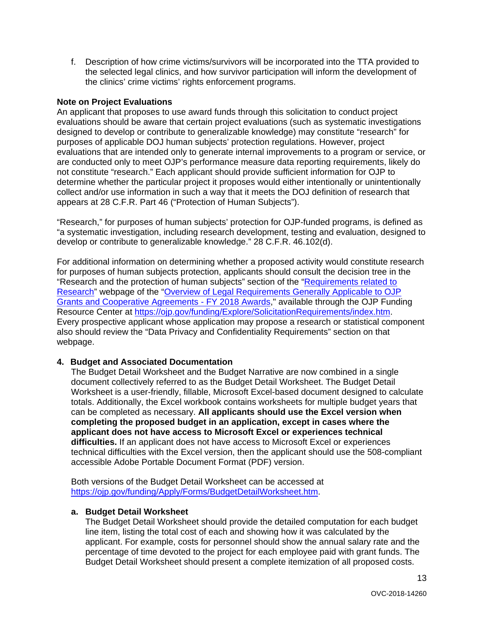f. Description of how crime victims/survivors will be incorporated into the TTA provided to the selected legal clinics, and how survivor participation will inform the development of the clinics' crime victims' rights enforcement programs.

#### **Note on Project Evaluations**

An applicant that proposes to use award funds through this solicitation to conduct project evaluations should be aware that certain project evaluations (such as systematic investigations designed to develop or contribute to generalizable knowledge) may constitute "research" for purposes of applicable DOJ human subjects' protection regulations. However, project evaluations that are intended only to generate internal improvements to a program or service, or are conducted only to meet OJP's performance measure data reporting requirements, likely do not constitute "research." Each applicant should provide sufficient information for OJP to determine whether the particular project it proposes would either intentionally or unintentionally collect and/or use information in such a way that it meets the DOJ definition of research that appears at 28 C.F.R. Part 46 ("Protection of Human Subjects").

"Research," for purposes of human subjects' protection for OJP-funded programs, is defined as "a systematic investigation, including research development, testing and evaluation, designed to develop or contribute to generalizable knowledge." 28 C.F.R. 46.102(d).

For additional information on determining whether a proposed activity would constitute research for purposes of human subjects protection, applicants should consult the decision tree in the "Research and the protection of human subjects" section of the ["Requirements related to](https://ojp.gov/funding/Explore/SolicitationRequirements/EvidenceResearchEvaluationRequirements.htm)  [Research"](https://ojp.gov/funding/Explore/SolicitationRequirements/EvidenceResearchEvaluationRequirements.htm) webpage of the ["Overview of Legal Requirements Generally Applicable to OJP](https://ojp.gov/funding/Explore/LegalOverview/index.htm)  [Grants and Cooperative Agreements -](https://ojp.gov/funding/Explore/LegalOverview/index.htm) FY 2018 Awards," available through the OJP Funding Resource Center at [https://ojp.gov/funding/Explore/SolicitationRequirements/index.htm.](https://ojp.gov/funding/Explore/SolicitationRequirements/index.htm) Every prospective applicant whose application may propose a research or statistical component also should review the "Data Privacy and Confidentiality Requirements" section on that webpage.

#### **4. Budget and Associated Documentation**

The Budget Detail Worksheet and the Budget Narrative are now combined in a single document collectively referred to as the Budget Detail Worksheet. The Budget Detail Worksheet is a user-friendly, fillable, Microsoft Excel-based document designed to calculate totals. Additionally, the Excel workbook contains worksheets for multiple budget years that can be completed as necessary. **All applicants should use the Excel version when completing the proposed budget in an application, except in cases where the applicant does not have access to Microsoft Excel or experiences technical difficulties.** If an applicant does not have access to Microsoft Excel or experiences technical difficulties with the Excel version, then the applicant should use the 508-compliant accessible Adobe Portable Document Format (PDF) version.

Both versions of the Budget Detail Worksheet can be accessed at [https://ojp.gov/funding/Apply/Forms/BudgetDetailWorksheet.htm.](https://ojp.gov/funding/Apply/Forms/BudgetDetailWorksheet.htm)

#### **a. Budget Detail Worksheet**

The Budget Detail Worksheet should provide the detailed computation for each budget line item, listing the total cost of each and showing how it was calculated by the applicant. For example, costs for personnel should show the annual salary rate and the percentage of time devoted to the project for each employee paid with grant funds. The Budget Detail Worksheet should present a complete itemization of all proposed costs.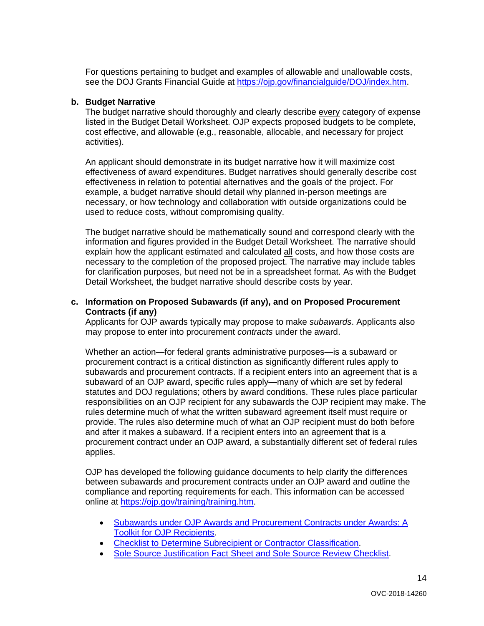For questions pertaining to budget and examples of allowable and unallowable costs, see the DOJ Grants Financial Guide at [https://ojp.gov/financialguide/DOJ/index.htm.](https://ojp.gov/financialguide/DOJ/index.htm)

#### **b. Budget Narrative**

The budget narrative should thoroughly and clearly describe every category of expense listed in the Budget Detail Worksheet. OJP expects proposed budgets to be complete, cost effective, and allowable (e.g., reasonable, allocable, and necessary for project activities).

An applicant should demonstrate in its budget narrative how it will maximize cost effectiveness of award expenditures. Budget narratives should generally describe cost effectiveness in relation to potential alternatives and the goals of the project. For example, a budget narrative should detail why planned in-person meetings are necessary, or how technology and collaboration with outside organizations could be used to reduce costs, without compromising quality.

The budget narrative should be mathematically sound and correspond clearly with the information and figures provided in the Budget Detail Worksheet. The narrative should explain how the applicant estimated and calculated all costs, and how those costs are necessary to the completion of the proposed project. The narrative may include tables for clarification purposes, but need not be in a spreadsheet format. As with the Budget Detail Worksheet, the budget narrative should describe costs by year.

#### **c. Information on Proposed Subawards (if any), and on Proposed Procurement Contracts (if any)**

Applicants for OJP awards typically may propose to make *subawards*. Applicants also may propose to enter into procurement *contracts* under the award.

Whether an action—for federal grants administrative purposes—is a subaward or procurement contract is a critical distinction as significantly different rules apply to subawards and procurement contracts. If a recipient enters into an agreement that is a subaward of an OJP award, specific rules apply—many of which are set by federal statutes and DOJ regulations; others by award conditions. These rules place particular responsibilities on an OJP recipient for any subawards the OJP recipient may make. The rules determine much of what the written subaward agreement itself must require or provide. The rules also determine much of what an OJP recipient must do both before and after it makes a subaward. If a recipient enters into an agreement that is a procurement contract under an OJP award, a substantially different set of federal rules applies.

OJP has developed the following guidance documents to help clarify the differences between subawards and procurement contracts under an OJP award and outline the compliance and reporting requirements for each. This information can be accessed online at [https://ojp.gov/training/training.htm.](http://links.govdelivery.com/track?type=click&enid=ZWFzPTEmbXNpZD0mYXVpZD0mbWFpbGluZ2lkPTIwMTcwNzE3Ljc1OTkyNjAxJm1lc3NhZ2VpZD1NREItUFJELUJVTC0yMDE3MDcxNy43NTk5MjYwMSZkYXRhYmFzZWlkPTEwMDEmc2VyaWFsPTE3MDc5NDk3JmVtYWlsaWQ9bHVjeS5tdW5nbGVAb2pwLnVzZG9qLmdvdiZ1c2VyaWQ9bHVjeS5tdW5nbGVAb2pwLnVzZG9qLmdvdiZ0YXJnZXRpZD0mZmw9Jm12aWQ9JmV4dHJhPSYmJg==&&&100&&&https://ojp.gov/training/training.htm)

- [Subawards under OJP Awards and Procurement Contracts under Awards: A](http://links.govdelivery.com/track?type=click&enid=ZWFzPTEmbXNpZD0mYXVpZD0mbWFpbGluZ2lkPTIwMTcwNzE3Ljc1OTkyNjAxJm1lc3NhZ2VpZD1NREItUFJELUJVTC0yMDE3MDcxNy43NTk5MjYwMSZkYXRhYmFzZWlkPTEwMDEmc2VyaWFsPTE3MDc5NDk3JmVtYWlsaWQ9bHVjeS5tdW5nbGVAb2pwLnVzZG9qLmdvdiZ1c2VyaWQ9bHVjeS5tdW5nbGVAb2pwLnVzZG9qLmdvdiZ0YXJnZXRpZD0mZmw9Jm12aWQ9JmV4dHJhPSYmJg==&&&101&&&https://ojp.gov/training/pdfs/Subaward-Procure-Toolkit-D.pdf)  [Toolkit for OJP Recipients.](http://links.govdelivery.com/track?type=click&enid=ZWFzPTEmbXNpZD0mYXVpZD0mbWFpbGluZ2lkPTIwMTcwNzE3Ljc1OTkyNjAxJm1lc3NhZ2VpZD1NREItUFJELUJVTC0yMDE3MDcxNy43NTk5MjYwMSZkYXRhYmFzZWlkPTEwMDEmc2VyaWFsPTE3MDc5NDk3JmVtYWlsaWQ9bHVjeS5tdW5nbGVAb2pwLnVzZG9qLmdvdiZ1c2VyaWQ9bHVjeS5tdW5nbGVAb2pwLnVzZG9qLmdvdiZ0YXJnZXRpZD0mZmw9Jm12aWQ9JmV4dHJhPSYmJg==&&&101&&&https://ojp.gov/training/pdfs/Subaward-Procure-Toolkit-D.pdf)
- **[Checklist to Determine Subrecipient or Contractor Classification.](http://links.govdelivery.com/track?type=click&enid=ZWFzPTEmbXNpZD0mYXVpZD0mbWFpbGluZ2lkPTIwMTcwNzE3Ljc1OTkyNjAxJm1lc3NhZ2VpZD1NREItUFJELUJVTC0yMDE3MDcxNy43NTk5MjYwMSZkYXRhYmFzZWlkPTEwMDEmc2VyaWFsPTE3MDc5NDk3JmVtYWlsaWQ9bHVjeS5tdW5nbGVAb2pwLnVzZG9qLmdvdiZ1c2VyaWQ9bHVjeS5tdW5nbGVAb2pwLnVzZG9qLmdvdiZ0YXJnZXRpZD0mZmw9Jm12aWQ9JmV4dHJhPSYmJg==&&&102&&&https://ojp.gov/training/pdfs/Subrecipient-Procure-cklist-B.pdf)**
- [Sole Source Justification Fact Sheet and Sole Source Review Checklist.](http://links.govdelivery.com/track?type=click&enid=ZWFzPTEmbXNpZD0mYXVpZD0mbWFpbGluZ2lkPTIwMTcwNzE3Ljc1OTkyNjAxJm1lc3NhZ2VpZD1NREItUFJELUJVTC0yMDE3MDcxNy43NTk5MjYwMSZkYXRhYmFzZWlkPTEwMDEmc2VyaWFsPTE3MDc5NDk3JmVtYWlsaWQ9bHVjeS5tdW5nbGVAb2pwLnVzZG9qLmdvdiZ1c2VyaWQ9bHVjeS5tdW5nbGVAb2pwLnVzZG9qLmdvdiZ0YXJnZXRpZD0mZmw9Jm12aWQ9JmV4dHJhPSYmJg==&&&103&&&https://ojp.gov/training/pdfs/Sole-Source-FactSheet-C.pdf)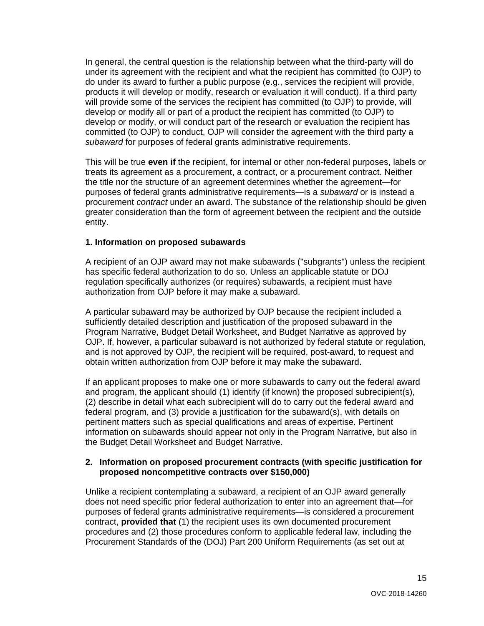In general, the central question is the relationship between what the third-party will do under its agreement with the recipient and what the recipient has committed (to OJP) to do under its award to further a public purpose (e.g., services the recipient will provide, products it will develop or modify, research or evaluation it will conduct). If a third party will provide some of the services the recipient has committed (to OJP) to provide, will develop or modify all or part of a product the recipient has committed (to OJP) to develop or modify, or will conduct part of the research or evaluation the recipient has committed (to OJP) to conduct, OJP will consider the agreement with the third party a *subaward* for purposes of federal grants administrative requirements.

This will be true **even if** the recipient, for internal or other non-federal purposes, labels or treats its agreement as a procurement, a contract, or a procurement contract. Neither the title nor the structure of an agreement determines whether the agreement—for purposes of federal grants administrative requirements—is a *subaward* or is instead a procurement *contract* under an award. The substance of the relationship should be given greater consideration than the form of agreement between the recipient and the outside entity.

#### **1. Information on proposed subawards**

A recipient of an OJP award may not make subawards ("subgrants") unless the recipient has specific federal authorization to do so. Unless an applicable statute or DOJ regulation specifically authorizes (or requires) subawards, a recipient must have authorization from OJP before it may make a subaward.

A particular subaward may be authorized by OJP because the recipient included a sufficiently detailed description and justification of the proposed subaward in the Program Narrative, Budget Detail Worksheet, and Budget Narrative as approved by OJP. If, however, a particular subaward is not authorized by federal statute or regulation, and is not approved by OJP, the recipient will be required, post-award, to request and obtain written authorization from OJP before it may make the subaward.

If an applicant proposes to make one or more subawards to carry out the federal award and program, the applicant should (1) identify (if known) the proposed subrecipient(s), (2) describe in detail what each subrecipient will do to carry out the federal award and federal program, and (3) provide a justification for the subaward(s), with details on pertinent matters such as special qualifications and areas of expertise. Pertinent information on subawards should appear not only in the Program Narrative, but also in the Budget Detail Worksheet and Budget Narrative.

#### **2. Information on proposed procurement contracts (with specific justification for proposed noncompetitive contracts over \$150,000)**

Unlike a recipient contemplating a subaward, a recipient of an OJP award generally does not need specific prior federal authorization to enter into an agreement that—for purposes of federal grants administrative requirements—is considered a procurement contract, **provided that** (1) the recipient uses its own documented procurement procedures and (2) those procedures conform to applicable federal law, including the Procurement Standards of the (DOJ) Part 200 Uniform Requirements (as set out at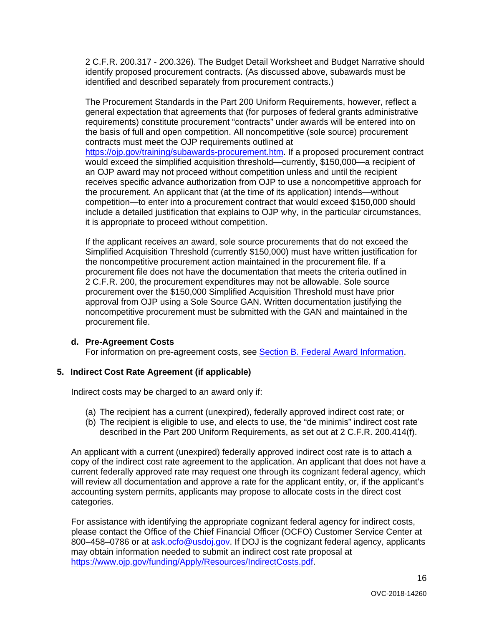2 C.F.R. 200.317 - 200.326). The Budget Detail Worksheet and Budget Narrative should identify proposed procurement contracts. (As discussed above, subawards must be identified and described separately from procurement contracts.)

The Procurement Standards in the Part 200 Uniform Requirements, however, reflect a general expectation that agreements that (for purposes of federal grants administrative requirements) constitute procurement "contracts" under awards will be entered into on the basis of full and open competition. All noncompetitive (sole source) procurement contracts must meet the OJP requirements outlined at

[https://ojp.gov/training/subawards-procurement.htm.](https://ojp.gov/training/subawards-procurement.htm) If a proposed procurement contract would exceed the simplified acquisition threshold—currently, \$150,000—a recipient of an OJP award may not proceed without competition unless and until the recipient receives specific advance authorization from OJP to use a noncompetitive approach for the procurement. An applicant that (at the time of its application) intends—without competition—to enter into a procurement contract that would exceed \$150,000 should include a detailed justification that explains to OJP why, in the particular circumstances, it is appropriate to proceed without competition.

If the applicant receives an award, sole source procurements that do not exceed the Simplified Acquisition Threshold (currently \$150,000) must have written justification for the noncompetitive procurement action maintained in the procurement file. If a procurement file does not have the documentation that meets the criteria outlined in 2 C.F.R. 200, the procurement expenditures may not be allowable. Sole source procurement over the \$150,000 Simplified Acquisition Threshold must have prior approval from OJP using a Sole Source GAN. Written documentation justifying the noncompetitive procurement must be submitted with the GAN and maintained in the procurement file.

#### **d. Pre-Agreement Costs**

For information on pre-agreement costs, see [Section B. Federal Award Information.](#page-6-0)

#### **5. Indirect Cost Rate Agreement (if applicable)**

Indirect costs may be charged to an award only if:

- (a) The recipient has a current (unexpired), federally approved indirect cost rate; or
- (b) The recipient is eligible to use, and elects to use, the "de minimis" indirect cost rate described in the Part 200 Uniform Requirements, as set out at 2 C.F.R. 200.414(f).

An applicant with a current (unexpired) federally approved indirect cost rate is to attach a copy of the indirect cost rate agreement to the application. An applicant that does not have a current federally approved rate may request one through its cognizant federal agency, which will review all documentation and approve a rate for the applicant entity, or, if the applicant's accounting system permits, applicants may propose to allocate costs in the direct cost categories.

For assistance with identifying the appropriate cognizant federal agency for indirect costs, please contact the Office of the Chief Financial Officer (OCFO) Customer Service Center at 800–458–0786 or at [ask.ocfo@usdoj.gov.](mailto:ask.ocfo@usdoj.gov) If DOJ is the cognizant federal agency, applicants may obtain information needed to submit an indirect cost rate proposal at [https://www.ojp.gov/funding/Apply/Resources/IndirectCosts.pdf.](https://www.ojp.gov/funding/Apply/Resources/IndirectCosts.pdf)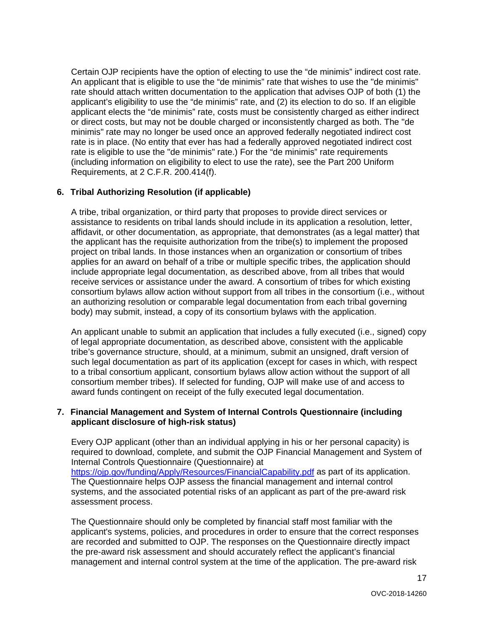Certain OJP recipients have the option of electing to use the "de minimis" indirect cost rate. An applicant that is eligible to use the "de minimis" rate that wishes to use the "de minimis" rate should attach written documentation to the application that advises OJP of both (1) the applicant's eligibility to use the "de minimis" rate, and (2) its election to do so. If an eligible applicant elects the "de minimis" rate, costs must be consistently charged as either indirect or direct costs, but may not be double charged or inconsistently charged as both. The "de minimis" rate may no longer be used once an approved federally negotiated indirect cost rate is in place. (No entity that ever has had a federally approved negotiated indirect cost rate is eligible to use the "de minimis" rate.) For the "de minimis" rate requirements (including information on eligibility to elect to use the rate), see the Part 200 Uniform Requirements, at 2 C.F.R. 200.414(f).

#### **6. Tribal Authorizing Resolution (if applicable)**

A tribe, tribal organization, or third party that proposes to provide direct services or assistance to residents on tribal lands should include in its application a resolution, letter, affidavit, or other documentation, as appropriate, that demonstrates (as a legal matter) that the applicant has the requisite authorization from the tribe(s) to implement the proposed project on tribal lands. In those instances when an organization or consortium of tribes applies for an award on behalf of a tribe or multiple specific tribes, the application should include appropriate legal documentation, as described above, from all tribes that would receive services or assistance under the award. A consortium of tribes for which existing consortium bylaws allow action without support from all tribes in the consortium (i.e., without an authorizing resolution or comparable legal documentation from each tribal governing body) may submit, instead, a copy of its consortium bylaws with the application.

An applicant unable to submit an application that includes a fully executed (i.e., signed) copy of legal appropriate documentation, as described above, consistent with the applicable tribe's governance structure, should, at a minimum, submit an unsigned, draft version of such legal documentation as part of its application (except for cases in which, with respect to a tribal consortium applicant, consortium bylaws allow action without the support of all consortium member tribes). If selected for funding, OJP will make use of and access to award funds contingent on receipt of the fully executed legal documentation.

#### **7. Financial Management and System of Internal Controls Questionnaire (including applicant disclosure of high-risk status)**

Every OJP applicant (other than an individual applying in his or her personal capacity) is required to download, complete, and submit the OJP Financial Management and System of Internal Controls Questionnaire (Questionnaire) at <https://ojp.gov/funding/Apply/Resources/FinancialCapability.pdf> as part of its application. The Questionnaire helps OJP assess the financial management and internal control systems, and the associated potential risks of an applicant as part of the pre-award risk assessment process.

The Questionnaire should only be completed by financial staff most familiar with the applicant's systems, policies, and procedures in order to ensure that the correct responses are recorded and submitted to OJP. The responses on the Questionnaire directly impact the pre-award risk assessment and should accurately reflect the applicant's financial management and internal control system at the time of the application. The pre-award risk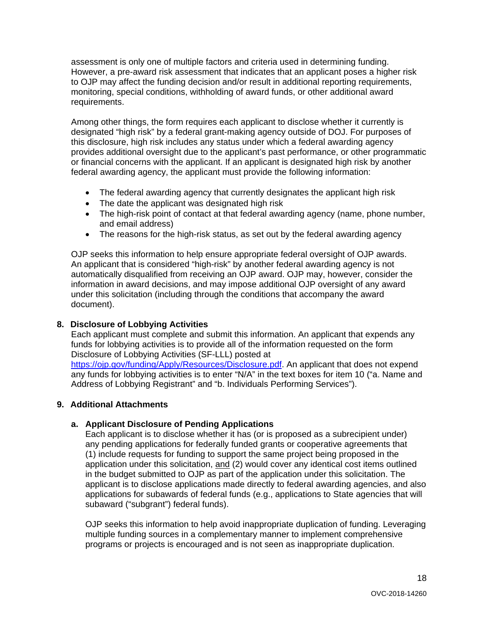assessment is only one of multiple factors and criteria used in determining funding. However, a pre-award risk assessment that indicates that an applicant poses a higher risk to OJP may affect the funding decision and/or result in additional reporting requirements, monitoring, special conditions, withholding of award funds, or other additional award requirements.

Among other things, the form requires each applicant to disclose whether it currently is designated "high risk" by a federal grant-making agency outside of DOJ. For purposes of this disclosure, high risk includes any status under which a federal awarding agency provides additional oversight due to the applicant's past performance, or other programmatic or financial concerns with the applicant. If an applicant is designated high risk by another federal awarding agency, the applicant must provide the following information:

- The federal awarding agency that currently designates the applicant high risk
- The date the applicant was designated high risk
- The high-risk point of contact at that federal awarding agency (name, phone number, and email address)
- The reasons for the high-risk status, as set out by the federal awarding agency

OJP seeks this information to help ensure appropriate federal oversight of OJP awards. An applicant that is considered "high-risk" by another federal awarding agency is not automatically disqualified from receiving an OJP award. OJP may, however, consider the information in award decisions, and may impose additional OJP oversight of any award under this solicitation (including through the conditions that accompany the award document).

#### **8. Disclosure of Lobbying Activities**

Each applicant must complete and submit this information. An applicant that expends any funds for lobbying activities is to provide all of the information requested on the form Disclosure of Lobbying Activities (SF-LLL) posted at

[https://ojp.gov/funding/Apply/Resources/Disclosure.pdf.](https://ojp.gov/funding/Apply/Resources/Disclosure.pdf) An applicant that does not expend any funds for lobbying activities is to enter "N/A" in the text boxes for item 10 ("a. Name and Address of Lobbying Registrant" and "b. Individuals Performing Services").

#### **9. Additional Attachments**

#### **a. Applicant Disclosure of Pending Applications**

Each applicant is to disclose whether it has (or is proposed as a subrecipient under) any pending applications for federally funded grants or cooperative agreements that (1) include requests for funding to support the same project being proposed in the application under this solicitation, and (2) would cover any identical cost items outlined in the budget submitted to OJP as part of the application under this solicitation. The applicant is to disclose applications made directly to federal awarding agencies, and also applications for subawards of federal funds (e.g., applications to State agencies that will subaward ("subgrant") federal funds).

OJP seeks this information to help avoid inappropriate duplication of funding. Leveraging multiple funding sources in a complementary manner to implement comprehensive programs or projects is encouraged and is not seen as inappropriate duplication.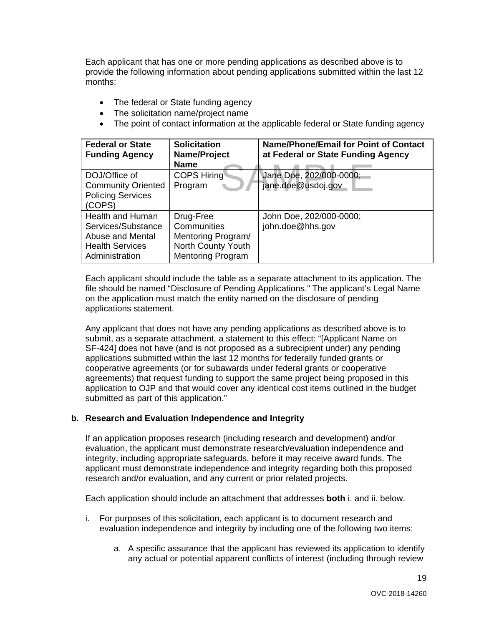Each applicant that has one or more pending applications as described above is to provide the following information about pending applications submitted within the last 12 months:

- The federal or State funding agency
- The solicitation name/project name
- The point of contact information at the applicable federal or State funding agency

| <b>Federal or State</b><br><b>Funding Agency</b>                                                       | <b>Solicitation</b><br>Name/Project<br><b>Name</b>                                               | <b>Name/Phone/Email for Point of Contact</b><br>at Federal or State Funding Agency |
|--------------------------------------------------------------------------------------------------------|--------------------------------------------------------------------------------------------------|------------------------------------------------------------------------------------|
| DOJ/Office of<br><b>Community Oriented</b><br><b>Policing Services</b><br>(COPS)                       | <b>COPS Hiring</b><br>Program                                                                    | Jane Doe, 202/000-0000;<br>jane.doe@usdoj.gov                                      |
| Health and Human<br>Services/Substance<br>Abuse and Mental<br><b>Health Services</b><br>Administration | Drug-Free<br>Communities<br>Mentoring Program/<br>North County Youth<br><b>Mentoring Program</b> | John Doe, 202/000-0000;<br>john.doe@hhs.gov                                        |

Each applicant should include the table as a separate attachment to its application. The file should be named "Disclosure of Pending Applications." The applicant's Legal Name on the application must match the entity named on the disclosure of pending applications statement.

Any applicant that does not have any pending applications as described above is to submit, as a separate attachment, a statement to this effect: "[Applicant Name on SF-424] does not have (and is not proposed as a subrecipient under) any pending applications submitted within the last 12 months for federally funded grants or cooperative agreements (or for subawards under federal grants or cooperative agreements) that request funding to support the same project being proposed in this application to OJP and that would cover any identical cost items outlined in the budget submitted as part of this application."

#### **b. Research and Evaluation Independence and Integrity**

If an application proposes research (including research and development) and/or evaluation, the applicant must demonstrate research/evaluation independence and integrity, including appropriate safeguards, before it may receive award funds. The applicant must demonstrate independence and integrity regarding both this proposed research and/or evaluation, and any current or prior related projects.

Each application should include an attachment that addresses **both** i. and ii. below.

- i. For purposes of this solicitation, each applicant is to document research and evaluation independence and integrity by including one of the following two items:
	- a. A specific assurance that the applicant has reviewed its application to identify any actual or potential apparent conflicts of interest (including through review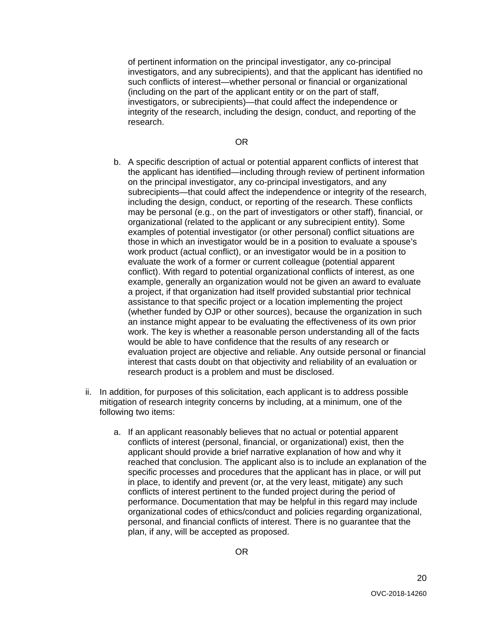of pertinent information on the principal investigator, any co-principal investigators, and any subrecipients), and that the applicant has identified no such conflicts of interest—whether personal or financial or organizational (including on the part of the applicant entity or on the part of staff, investigators, or subrecipients)—that could affect the independence or integrity of the research, including the design, conduct, and reporting of the research.

OR

- b. A specific description of actual or potential apparent conflicts of interest that the applicant has identified—including through review of pertinent information on the principal investigator, any co-principal investigators, and any subrecipients—that could affect the independence or integrity of the research, including the design, conduct, or reporting of the research. These conflicts may be personal (e.g., on the part of investigators or other staff), financial, or organizational (related to the applicant or any subrecipient entity). Some examples of potential investigator (or other personal) conflict situations are those in which an investigator would be in a position to evaluate a spouse's work product (actual conflict), or an investigator would be in a position to evaluate the work of a former or current colleague (potential apparent conflict). With regard to potential organizational conflicts of interest, as one example, generally an organization would not be given an award to evaluate a project, if that organization had itself provided substantial prior technical assistance to that specific project or a location implementing the project (whether funded by OJP or other sources), because the organization in such an instance might appear to be evaluating the effectiveness of its own prior work. The key is whether a reasonable person understanding all of the facts would be able to have confidence that the results of any research or evaluation project are objective and reliable. Any outside personal or financial interest that casts doubt on that objectivity and reliability of an evaluation or research product is a problem and must be disclosed.
- ii. In addition, for purposes of this solicitation, each applicant is to address possible mitigation of research integrity concerns by including, at a minimum, one of the following two items:
	- a. If an applicant reasonably believes that no actual or potential apparent conflicts of interest (personal, financial, or organizational) exist, then the applicant should provide a brief narrative explanation of how and why it reached that conclusion. The applicant also is to include an explanation of the specific processes and procedures that the applicant has in place, or will put in place, to identify and prevent (or, at the very least, mitigate) any such conflicts of interest pertinent to the funded project during the period of performance. Documentation that may be helpful in this regard may include organizational codes of ethics/conduct and policies regarding organizational, personal, and financial conflicts of interest. There is no guarantee that the plan, if any, will be accepted as proposed.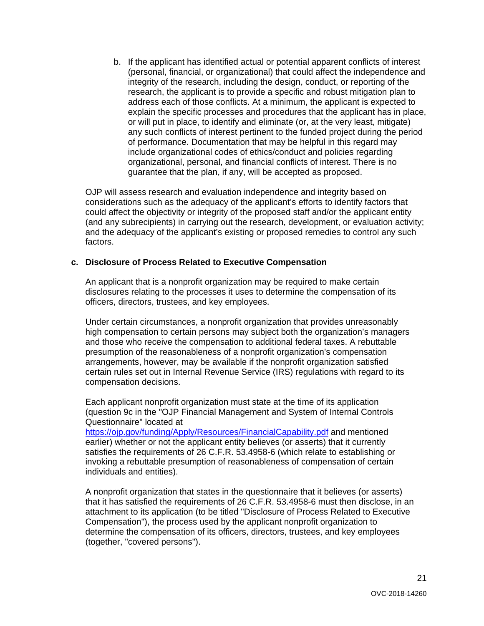b. If the applicant has identified actual or potential apparent conflicts of interest (personal, financial, or organizational) that could affect the independence and integrity of the research, including the design, conduct, or reporting of the research, the applicant is to provide a specific and robust mitigation plan to address each of those conflicts. At a minimum, the applicant is expected to explain the specific processes and procedures that the applicant has in place, or will put in place, to identify and eliminate (or, at the very least, mitigate) any such conflicts of interest pertinent to the funded project during the period of performance. Documentation that may be helpful in this regard may include organizational codes of ethics/conduct and policies regarding organizational, personal, and financial conflicts of interest. There is no guarantee that the plan, if any, will be accepted as proposed.

OJP will assess research and evaluation independence and integrity based on considerations such as the adequacy of the applicant's efforts to identify factors that could affect the objectivity or integrity of the proposed staff and/or the applicant entity (and any subrecipients) in carrying out the research, development, or evaluation activity; and the adequacy of the applicant's existing or proposed remedies to control any such factors.

#### **c. Disclosure of Process Related to Executive Compensation**

An applicant that is a nonprofit organization may be required to make certain disclosures relating to the processes it uses to determine the compensation of its officers, directors, trustees, and key employees.

Under certain circumstances, a nonprofit organization that provides unreasonably high compensation to certain persons may subject both the organization's managers and those who receive the compensation to additional federal taxes. A rebuttable presumption of the reasonableness of a nonprofit organization's compensation arrangements, however, may be available if the nonprofit organization satisfied certain rules set out in Internal Revenue Service (IRS) regulations with regard to its compensation decisions.

Each applicant nonprofit organization must state at the time of its application (question 9c in the "OJP Financial Management and System of Internal Controls Questionnaire" located at

<https://ojp.gov/funding/Apply/Resources/FinancialCapability.pdf> and mentioned earlier) whether or not the applicant entity believes (or asserts) that it currently satisfies the requirements of 26 C.F.R. 53.4958-6 (which relate to establishing or invoking a rebuttable presumption of reasonableness of compensation of certain individuals and entities).

A nonprofit organization that states in the questionnaire that it believes (or asserts) that it has satisfied the requirements of 26 C.F.R. 53.4958-6 must then disclose, in an attachment to its application (to be titled "Disclosure of Process Related to Executive Compensation"), the process used by the applicant nonprofit organization to determine the compensation of its officers, directors, trustees, and key employees (together, "covered persons").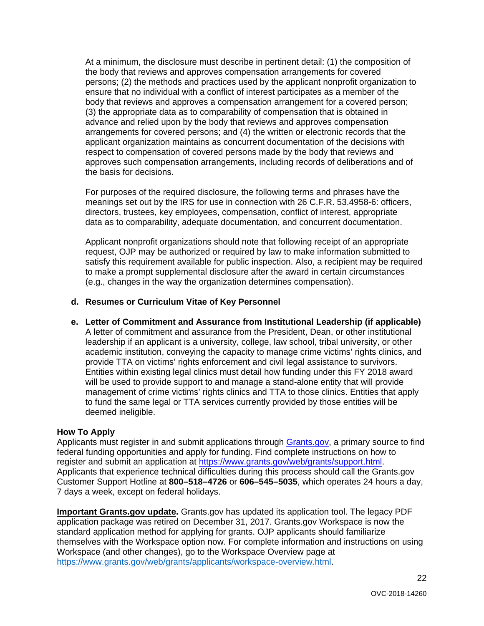At a minimum, the disclosure must describe in pertinent detail: (1) the composition of the body that reviews and approves compensation arrangements for covered persons; (2) the methods and practices used by the applicant nonprofit organization to ensure that no individual with a conflict of interest participates as a member of the body that reviews and approves a compensation arrangement for a covered person; (3) the appropriate data as to comparability of compensation that is obtained in advance and relied upon by the body that reviews and approves compensation arrangements for covered persons; and (4) the written or electronic records that the applicant organization maintains as concurrent documentation of the decisions with respect to compensation of covered persons made by the body that reviews and approves such compensation arrangements, including records of deliberations and of the basis for decisions.

For purposes of the required disclosure, the following terms and phrases have the meanings set out by the IRS for use in connection with 26 C.F.R. 53.4958-6: officers, directors, trustees, key employees, compensation, conflict of interest, appropriate data as to comparability, adequate documentation, and concurrent documentation.

Applicant nonprofit organizations should note that following receipt of an appropriate request, OJP may be authorized or required by law to make information submitted to satisfy this requirement available for public inspection. Also, a recipient may be required to make a prompt supplemental disclosure after the award in certain circumstances (e.g., changes in the way the organization determines compensation).

#### **d. Resumes or Curriculum Vitae of Key Personnel**

**e. Letter of Commitment and Assurance from Institutional Leadership (if applicable)** A letter of commitment and assurance from the President, Dean, or other institutional leadership if an applicant is a university, college, law school, tribal university, or other academic institution, conveying the capacity to manage crime victims' rights clinics, and provide TTA on victims' rights enforcement and civil legal assistance to survivors. Entities within existing legal clinics must detail how funding under this FY 2018 award will be used to provide support to and manage a stand-alone entity that will provide management of crime victims' rights clinics and TTA to those clinics. Entities that apply to fund the same legal or TTA services currently provided by those entities will be deemed ineligible.

#### <span id="page-21-0"></span>**How To Apply**

Applicants must register in and submit applications through [Grants.gov,](https://www.grants.gov/) a primary source to find federal funding opportunities and apply for funding. Find complete instructions on how to register and submit an application at [https://www.grants.gov/web/grants/support.html.](https://www.grants.gov/web/grants/support.html) Applicants that experience technical difficulties during this process should call the Grants.gov Customer Support Hotline at **800–518–4726** or **606–545–5035**, which operates 24 hours a day, 7 days a week, except on federal holidays.

**Important Grants.gov update.** Grants.gov has updated its application tool. The legacy PDF application package was retired on December 31, 2017. Grants.gov Workspace is now the standard application method for applying for grants. OJP applicants should familiarize themselves with the Workspace option now. For complete information and instructions on using Workspace (and other changes), go to the Workspace Overview page at [https://www.grants.gov/web/grants/applicants/workspace-overview.html.](https://www.grants.gov/web/grants/applicants/workspace-overview.html)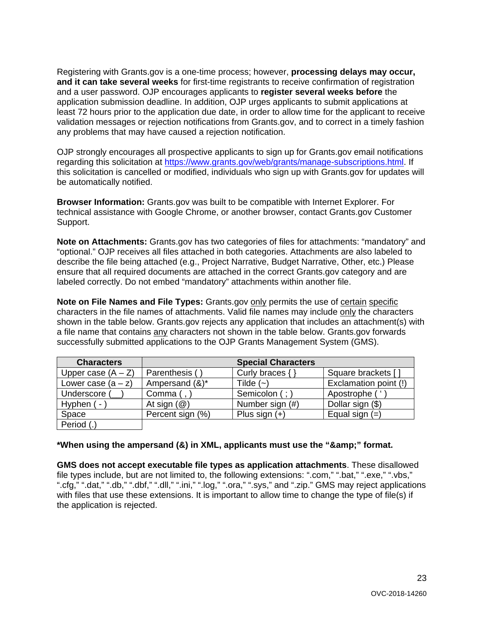Registering with Grants.gov is a one-time process; however, **processing delays may occur, and it can take several weeks** for first-time registrants to receive confirmation of registration and a user password. OJP encourages applicants to **register several weeks before** the application submission deadline. In addition, OJP urges applicants to submit applications at least 72 hours prior to the application due date, in order to allow time for the applicant to receive validation messages or rejection notifications from Grants.gov, and to correct in a timely fashion any problems that may have caused a rejection notification.

OJP strongly encourages all prospective applicants to sign up for Grants.gov email notifications regarding this solicitation at [https://www.grants.gov/web/grants/manage-subscriptions.html.](https://www.grants.gov/web/grants/manage-subscriptions.html) If this solicitation is cancelled or modified, individuals who sign up with Grants.gov for updates will be automatically notified.

**Browser Information:** Grants.gov was built to be compatible with Internet Explorer. For technical assistance with Google Chrome, or another browser, contact Grants.gov Customer Support.

**Note on Attachments:** Grants.gov has two categories of files for attachments: "mandatory" and "optional." OJP receives all files attached in both categories. Attachments are also labeled to describe the file being attached (e.g., Project Narrative, Budget Narrative, Other, etc.) Please ensure that all required documents are attached in the correct Grants.gov category and are labeled correctly. Do not embed "mandatory" attachments within another file.

**Note on File Names and File Types:** Grants.gov only permits the use of certain specific characters in the file names of attachments. Valid file names may include only the characters shown in the table below. Grants.gov rejects any application that includes an attachment(s) with a file name that contains any characters not shown in the table below. Grants.gov forwards successfully submitted applications to the OJP Grants Management System (GMS).

| <b>Characters</b>    |                         | <b>Special Characters</b> |                       |
|----------------------|-------------------------|---------------------------|-----------------------|
| Upper case $(A - Z)$ | Parenthesis (           | Curly braces {            | Square brackets [     |
| Lower case $(a - z)$ | Ampersand (&)*          | Tilde $(-)$               | Exclamation point (!) |
| Underscore (         | Comma (,                | Semicolon (; )            | Apostrophe ('         |
| Hyphen (-            | At sign $(\mathcal{Q})$ | Number sign (#)           | Dollar sign (\$)      |
| Space                | Percent sign (%)        | Plus sign $(+)$           | Equal sign $(=)$      |
| Period (.)           |                         |                           |                       |

#### \*When using the ampersand (&) in XML, applicants must use the "&" format.

**GMS does not accept executable file types as application attachments**. These disallowed file types include, but are not limited to, the following extensions: ".com," ".bat," ".exe," ".vbs," ".cfg," ".dat," ".db," ".dbf," ".dll," ".ini," ".log," ".ora," ".sys," and ".zip." GMS may reject applications with files that use these extensions. It is important to allow time to change the type of file(s) if the application is rejected.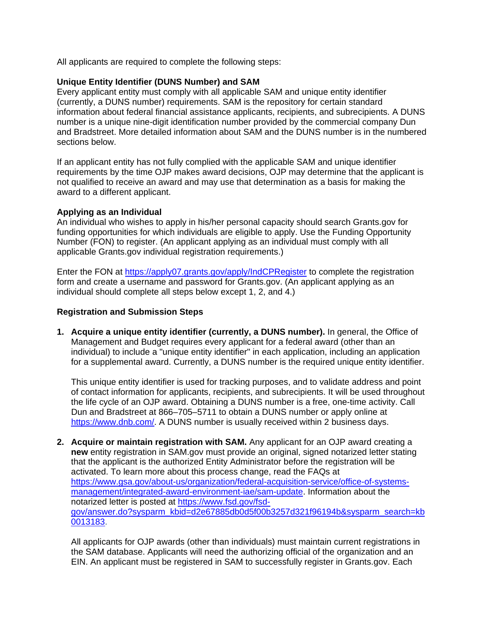All applicants are required to complete the following steps:

#### **Unique Entity Identifier (DUNS Number) and SAM**

Every applicant entity must comply with all applicable SAM and unique entity identifier (currently, a DUNS number) requirements. SAM is the repository for certain standard information about federal financial assistance applicants, recipients, and subrecipients. A DUNS number is a unique nine-digit identification number provided by the commercial company Dun and Bradstreet. More detailed information about SAM and the DUNS number is in the numbered sections below.

If an applicant entity has not fully complied with the applicable SAM and unique identifier requirements by the time OJP makes award decisions, OJP may determine that the applicant is not qualified to receive an award and may use that determination as a basis for making the award to a different applicant.

#### **Applying as an Individual**

An individual who wishes to apply in his/her personal capacity should search Grants.gov for funding opportunities for which individuals are eligible to apply. Use the Funding Opportunity Number (FON) to register. (An applicant applying as an individual must comply with all applicable Grants.gov individual registration requirements.)

Enter the FON at<https://apply07.grants.gov/apply/IndCPRegister> to complete the registration form and create a username and password for Grants.gov. (An applicant applying as an individual should complete all steps below except 1, 2, and 4.)

#### **Registration and Submission Steps**

**1. Acquire a unique entity identifier (currently, a DUNS number).** In general, the Office of Management and Budget requires every applicant for a federal award (other than an individual) to include a "unique entity identifier" in each application, including an application for a supplemental award. Currently, a DUNS number is the required unique entity identifier.

This unique entity identifier is used for tracking purposes, and to validate address and point of contact information for applicants, recipients, and subrecipients. It will be used throughout the life cycle of an OJP award. Obtaining a DUNS number is a free, one-time activity. Call Dun and Bradstreet at 866–705–5711 to obtain a DUNS number or apply online at [https://www.dnb.com/.](https://www.dnb.com/) A DUNS number is usually received within 2 business days.

**2. Acquire or maintain registration with SAM.** Any applicant for an OJP award creating a **new** entity registration in SAM.gov must provide an original, signed notarized letter stating that the applicant is the authorized Entity Administrator before the registration will be activated. To learn more about this process change, read the FAQs at [https://www.gsa.gov/about-us/organization/federal-acquisition-service/office-of-systems](https://www.gsa.gov/about-us/organization/federal-acquisition-service/office-of-systems-management/integrated-award-environment-iae/sam-update)[management/integrated-award-environment-iae/sam-update.](https://www.gsa.gov/about-us/organization/federal-acquisition-service/office-of-systems-management/integrated-award-environment-iae/sam-update) Information about the notarized letter is posted at [https://www.fsd.gov/fsd](https://www.fsd.gov/fsd-gov/answer.do?sysparm_kbid=d2e67885db0d5f00b3257d321f96194b&sysparm_search=kb0013183)[gov/answer.do?sysparm\\_kbid=d2e67885db0d5f00b3257d321f96194b&sysparm\\_search=kb](https://www.fsd.gov/fsd-gov/answer.do?sysparm_kbid=d2e67885db0d5f00b3257d321f96194b&sysparm_search=kb0013183) [0013183.](https://www.fsd.gov/fsd-gov/answer.do?sysparm_kbid=d2e67885db0d5f00b3257d321f96194b&sysparm_search=kb0013183)

All applicants for OJP awards (other than individuals) must maintain current registrations in the SAM database. Applicants will need the authorizing official of the organization and an EIN. An applicant must be registered in SAM to successfully register in Grants.gov. Each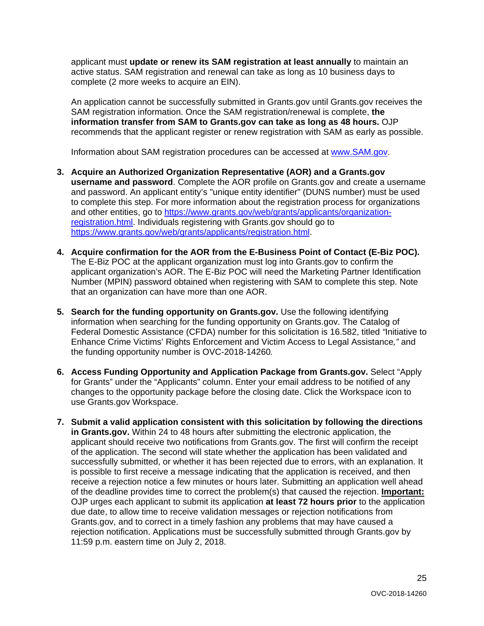applicant must **update or renew its SAM registration at least annually** to maintain an active status. SAM registration and renewal can take as long as 10 business days to complete (2 more weeks to acquire an EIN).

An application cannot be successfully submitted in Grants.gov until Grants.gov receives the SAM registration information. Once the SAM registration/renewal is complete, **the information transfer from SAM to Grants.gov can take as long as 48 hours.** OJP recommends that the applicant register or renew registration with SAM as early as possible.

Information about SAM registration procedures can be accessed at [www.SAM.gov.](https://www.sam.gov/portal/SAM/#1)

- **3. Acquire an Authorized Organization Representative (AOR) and a Grants.gov username and password**. Complete the AOR profile on Grants.gov and create a username and password. An applicant entity's "unique entity identifier" (DUNS number) must be used to complete this step. For more information about the registration process for organizations and other entities, go to [https://www.grants.gov/web/grants/applicants/organization](https://www.grants.gov/web/grants/applicants/organization-registration.html)[registration.html.](https://www.grants.gov/web/grants/applicants/organization-registration.html) Individuals registering with Grants.gov should go to [https://www.grants.gov/web/grants/applicants/registration.html.](https://www.grants.gov/web/grants/applicants/registration.html)
- **4. Acquire confirmation for the AOR from the E-Business Point of Contact (E-Biz POC).**  The E-Biz POC at the applicant organization must log into Grants.gov to confirm the applicant organization's AOR. The E-Biz POC will need the Marketing Partner Identification Number (MPIN) password obtained when registering with SAM to complete this step. Note that an organization can have more than one AOR.
- **5. Search for the funding opportunity on Grants.gov.** Use the following identifying information when searching for the funding opportunity on Grants.gov. The Catalog of Federal Domestic Assistance (CFDA) number for this solicitation is 16.582, titled *"*Initiative to Enhance Crime Victims' Rights Enforcement and Victim Access to Legal Assistance*,"* and the funding opportunity number is OVC-2018-14260*.*
- **6. Access Funding Opportunity and Application Package from Grants.gov.** Select "Apply for Grants" under the "Applicants" column. Enter your email address to be notified of any changes to the opportunity package before the closing date. Click the Workspace icon to use Grants.gov Workspace.
- **7. Submit a valid application consistent with this solicitation by following the directions in Grants.gov.** Within 24 to 48 hours after submitting the electronic application, the applicant should receive two notifications from Grants.gov. The first will confirm the receipt of the application. The second will state whether the application has been validated and successfully submitted, or whether it has been rejected due to errors, with an explanation. It is possible to first receive a message indicating that the application is received, and then receive a rejection notice a few minutes or hours later. Submitting an application well ahead of the deadline provides time to correct the problem(s) that caused the rejection. **Important:** OJP urges each applicant to submit its application **at least 72 hours prior** to the application due date, to allow time to receive validation messages or rejection notifications from Grants.gov, and to correct in a timely fashion any problems that may have caused a rejection notification. Applications must be successfully submitted through Grants.gov by 11:59 p.m. eastern time on July 2, 2018.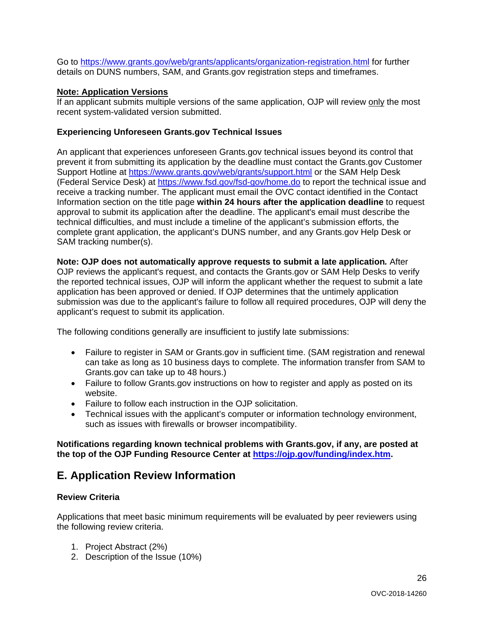Go to<https://www.grants.gov/web/grants/applicants/organization-registration.html> for further details on DUNS numbers, SAM, and Grants.gov registration steps and timeframes.

#### **Note: Application Versions**

If an applicant submits multiple versions of the same application, OJP will review only the most recent system-validated version submitted.

#### **Experiencing Unforeseen Grants.gov Technical Issues**

An applicant that experiences unforeseen Grants.gov technical issues beyond its control that prevent it from submitting its application by the deadline must contact the Grants.gov Customer Support Hotline at<https://www.grants.gov/web/grants/support.html> or the SAM Help Desk (Federal Service Desk) at<https://www.fsd.gov/fsd-gov/home.do> to report the technical issue and receive a tracking number. The applicant must email the OVC contact identified in the Contact Information section on the title page **within 24 hours after the application deadline** to request approval to submit its application after the deadline. The applicant's email must describe the technical difficulties, and must include a timeline of the applicant's submission efforts, the complete grant application, the applicant's DUNS number, and any Grants.gov Help Desk or SAM tracking number(s).

**Note: OJP does not automatically approve requests to submit a late application***.* After OJP reviews the applicant's request, and contacts the Grants.gov or SAM Help Desks to verify the reported technical issues, OJP will inform the applicant whether the request to submit a late application has been approved or denied. If OJP determines that the untimely application submission was due to the applicant's failure to follow all required procedures, OJP will deny the applicant's request to submit its application.

The following conditions generally are insufficient to justify late submissions:

- Failure to register in SAM or Grants.gov in sufficient time. (SAM registration and renewal can take as long as 10 business days to complete. The information transfer from SAM to Grants.gov can take up to 48 hours.)
- Failure to follow Grants.gov instructions on how to register and apply as posted on its website.
- Failure to follow each instruction in the OJP solicitation.
- Technical issues with the applicant's computer or information technology environment, such as issues with firewalls or browser incompatibility.

**Notifications regarding known technical problems with Grants.gov, if any, are posted at the top of the OJP Funding Resource Center at [https://ojp.gov/funding/index.htm.](https://ojp.gov/funding/index.htm)**

### <span id="page-25-0"></span>**E. Application Review Information**

#### <span id="page-25-1"></span>**Review Criteria**

Applications that meet basic minimum requirements will be evaluated by peer reviewers using the following review criteria.

- 1. Project Abstract (2%)
- 2. Description of the Issue (10%)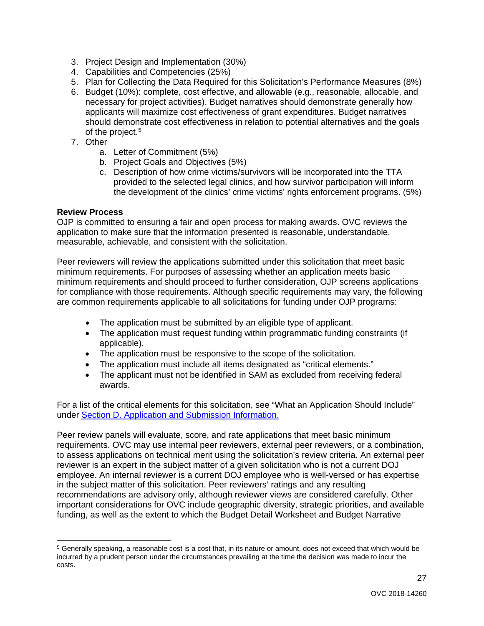- 3. Project Design and Implementation (30%)
- 4. Capabilities and Competencies (25%)
- 5. Plan for Collecting the Data Required for this Solicitation's Performance Measures (8%)
- 6. Budget (10%): complete, cost effective, and allowable (e.g., reasonable, allocable, and necessary for project activities). Budget narratives should demonstrate generally how applicants will maximize cost effectiveness of grant expenditures. Budget narratives should demonstrate cost effectiveness in relation to potential alternatives and the goals of the project.<sup>[5](#page-26-1)</sup>
- 7. Other
	- a. Letter of Commitment (5%)
	- b. Project Goals and Objectives (5%)
	- c. Description of how crime victims/survivors will be incorporated into the TTA provided to the selected legal clinics, and how survivor participation will inform the development of the clinics' crime victims' rights enforcement programs. (5%)

#### <span id="page-26-0"></span>**Review Process**

OJP is committed to ensuring a fair and open process for making awards. OVC reviews the application to make sure that the information presented is reasonable, understandable, measurable, achievable, and consistent with the solicitation.

Peer reviewers will review the applications submitted under this solicitation that meet basic minimum requirements. For purposes of assessing whether an application meets basic minimum requirements and should proceed to further consideration, OJP screens applications for compliance with those requirements. Although specific requirements may vary, the following are common requirements applicable to all solicitations for funding under OJP programs:

- The application must be submitted by an eligible type of applicant.
- The application must request funding within programmatic funding constraints (if applicable).
- The application must be responsive to the scope of the solicitation.
- The application must include all items designated as "critical elements."
- The applicant must not be identified in SAM as excluded from receiving federal awards.

For a list of the critical elements for this solicitation, see "What an Application Should Include" under [Section D. Application and Submission Information.](#page-9-0)

Peer review panels will evaluate, score, and rate applications that meet basic minimum requirements. OVC may use internal peer reviewers, external peer reviewers, or a combination, to assess applications on technical merit using the solicitation's review criteria. An external peer reviewer is an expert in the subject matter of a given solicitation who is not a current DOJ employee. An internal reviewer is a current DOJ employee who is well-versed or has expertise in the subject matter of this solicitation. Peer reviewers' ratings and any resulting recommendations are advisory only, although reviewer views are considered carefully. Other important considerations for OVC include geographic diversity, strategic priorities, and available funding, as well as the extent to which the Budget Detail Worksheet and Budget Narrative

27

<span id="page-26-1"></span> <sup>5</sup> Generally speaking, a reasonable cost is a cost that, in its nature or amount, does not exceed that which would be incurred by a prudent person under the circumstances prevailing at the time the decision was made to incur the costs.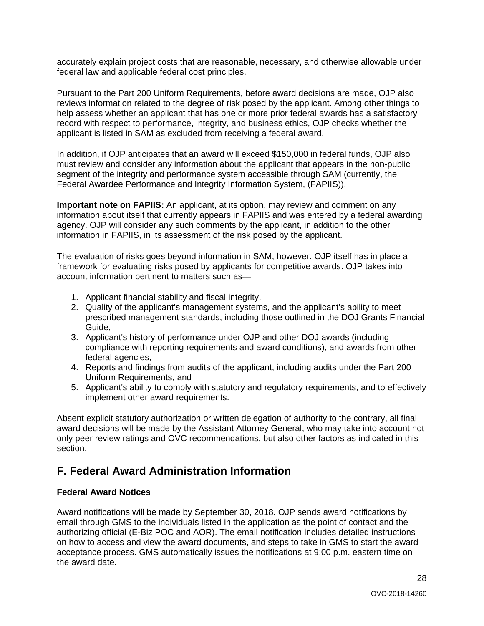accurately explain project costs that are reasonable, necessary, and otherwise allowable under federal law and applicable federal cost principles.

Pursuant to the Part 200 Uniform Requirements, before award decisions are made, OJP also reviews information related to the degree of risk posed by the applicant. Among other things to help assess whether an applicant that has one or more prior federal awards has a satisfactory record with respect to performance, integrity, and business ethics, OJP checks whether the applicant is listed in SAM as excluded from receiving a federal award.

In addition, if OJP anticipates that an award will exceed \$150,000 in federal funds, OJP also must review and consider any information about the applicant that appears in the non-public segment of the integrity and performance system accessible through SAM (currently, the Federal Awardee Performance and Integrity Information System, (FAPIIS)).

**Important note on FAPIIS:** An applicant, at its option, may review and comment on any information about itself that currently appears in FAPIIS and was entered by a federal awarding agency. OJP will consider any such comments by the applicant, in addition to the other information in FAPIIS, in its assessment of the risk posed by the applicant.

The evaluation of risks goes beyond information in SAM, however. OJP itself has in place a framework for evaluating risks posed by applicants for competitive awards. OJP takes into account information pertinent to matters such as—

- 1. Applicant financial stability and fiscal integrity,
- 2. Quality of the applicant's management systems, and the applicant's ability to meet prescribed management standards, including those outlined in the DOJ Grants Financial Guide,
- 3. Applicant's history of performance under OJP and other DOJ awards (including compliance with reporting requirements and award conditions), and awards from other federal agencies,
- 4. Reports and findings from audits of the applicant, including audits under the Part 200 Uniform Requirements, and
- 5. Applicant's ability to comply with statutory and regulatory requirements, and to effectively implement other award requirements.

Absent explicit statutory authorization or written delegation of authority to the contrary, all final award decisions will be made by the Assistant Attorney General, who may take into account not only peer review ratings and OVC recommendations, but also other factors as indicated in this section.

## <span id="page-27-0"></span>**F. Federal Award Administration Information**

#### <span id="page-27-1"></span>**Federal Award Notices**

Award notifications will be made by September 30, 2018. OJP sends award notifications by email through GMS to the individuals listed in the application as the point of contact and the authorizing official (E-Biz POC and AOR). The email notification includes detailed instructions on how to access and view the award documents, and steps to take in GMS to start the award acceptance process. GMS automatically issues the notifications at 9:00 p.m. eastern time on the award date.

28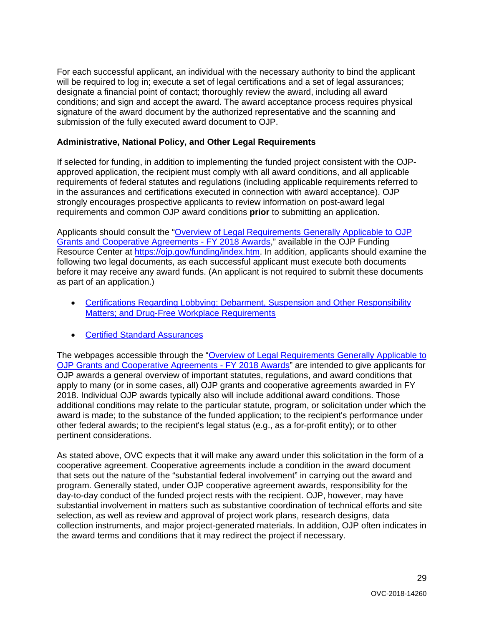For each successful applicant, an individual with the necessary authority to bind the applicant will be required to log in; execute a set of legal certifications and a set of legal assurances; designate a financial point of contact; thoroughly review the award, including all award conditions; and sign and accept the award. The award acceptance process requires physical signature of the award document by the authorized representative and the scanning and submission of the fully executed award document to OJP.

#### <span id="page-28-0"></span>**Administrative, National Policy, and Other Legal Requirements**

If selected for funding, in addition to implementing the funded project consistent with the OJPapproved application, the recipient must comply with all award conditions, and all applicable requirements of federal statutes and regulations (including applicable requirements referred to in the assurances and certifications executed in connection with award acceptance). OJP strongly encourages prospective applicants to review information on post-award legal requirements and common OJP award conditions **prior** to submitting an application.

Applicants should consult the ["Overview of Legal Requirements Generally Applicable to OJP](https://ojp.gov/funding/Explore/LegalOverview/index.htm)  [Grants and Cooperative Agreements -](https://ojp.gov/funding/Explore/LegalOverview/index.htm) FY 2018 Awards," available in the OJP Funding Resource Center at [https://ojp.gov/funding/index.htm.](https://ojp.gov/funding/index.htm) In addition, applicants should examine the following two legal documents, as each successful applicant must execute both documents before it may receive any award funds. (An applicant is not required to submit these documents as part of an application.)

- [Certifications Regarding Lobbying; Debarment, Suspension and Other Responsibility](https://ojp.gov/funding/Apply/Resources/Certifications.pdf)  [Matters; and Drug-Free Workplace Requirements](https://ojp.gov/funding/Apply/Resources/Certifications.pdf)
- Certified [Standard Assurances](https://ojp.gov/funding/Apply/Resources/StandardAssurances.pdf)

The webpages accessible through the "Overview of Legal Requirements Generally Applicable to [OJP Grants and Cooperative Agreements -](https://ojp.gov/funding/Explore/LegalOverview/index.htm) FY 2018 Awards" are intended to give applicants for OJP awards a general overview of important statutes, regulations, and award conditions that apply to many (or in some cases, all) OJP grants and cooperative agreements awarded in FY 2018. Individual OJP awards typically also will include additional award conditions. Those additional conditions may relate to the particular statute, program, or solicitation under which the award is made; to the substance of the funded application; to the recipient's performance under other federal awards; to the recipient's legal status (e.g., as a for-profit entity); or to other pertinent considerations.

As stated above, OVC expects that it will make any award under this solicitation in the form of a cooperative agreement. Cooperative agreements include a condition in the award document that sets out the nature of the "substantial federal involvement" in carrying out the award and program. Generally stated, under OJP cooperative agreement awards, responsibility for the day-to-day conduct of the funded project rests with the recipient. OJP, however, may have substantial involvement in matters such as substantive coordination of technical efforts and site selection, as well as review and approval of project work plans, research designs, data collection instruments, and major project-generated materials. In addition, OJP often indicates in the award terms and conditions that it may redirect the project if necessary.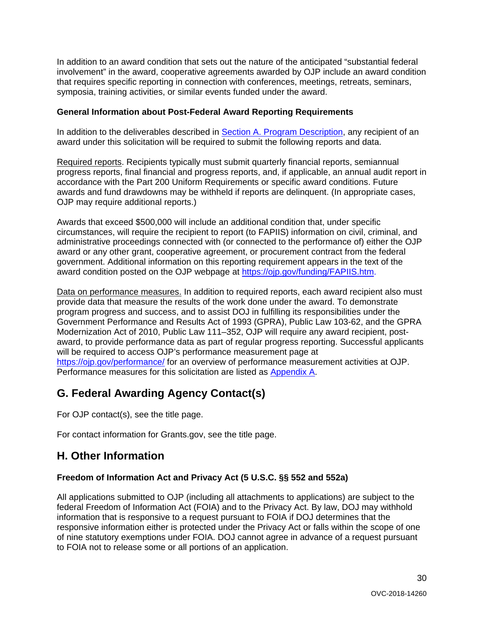In addition to an award condition that sets out the nature of the anticipated "substantial federal involvement" in the award, cooperative agreements awarded by OJP include an award condition that requires specific reporting in connection with conferences, meetings, retreats, seminars, symposia, training activities, or similar events funded under the award.

#### <span id="page-29-0"></span>**General Information about Post-Federal Award Reporting Requirements**

In addition to the deliverables described in [Section A. Program Description,](#page-3-0) any recipient of an award under this solicitation will be required to submit the following reports and data.

Required reports. Recipients typically must submit quarterly financial reports, semiannual progress reports, final financial and progress reports, and, if applicable, an annual audit report in accordance with the Part 200 Uniform Requirements or specific award conditions. Future awards and fund drawdowns may be withheld if reports are delinquent. (In appropriate cases, OJP may require additional reports.)

Awards that exceed \$500,000 will include an additional condition that, under specific circumstances, will require the recipient to report (to FAPIIS) information on civil, criminal, and administrative proceedings connected with (or connected to the performance of) either the OJP award or any other grant, cooperative agreement, or procurement contract from the federal government. Additional information on this reporting requirement appears in the text of the award condition posted on the OJP webpage at [https://ojp.gov/funding/FAPIIS.htm.](https://ojp.gov/funding/FAPIIS.htm)

Data on performance measures. In addition to required reports, each award recipient also must provide data that measure the results of the work done under the award. To demonstrate program progress and success, and to assist DOJ in fulfilling its responsibilities under the Government Performance and Results Act of 1993 (GPRA), Public Law 103-62, and the GPRA Modernization Act of 2010, Public Law 111–352, OJP will require any award recipient, postaward, to provide performance data as part of regular progress reporting. Successful applicants will be required to access OJP's performance measurement page at <https://ojp.gov/performance/> for an overview of performance measurement activities at OJP. Performance measures for this solicitation are listed as [Appendix A.](#page-31-0)

## <span id="page-29-1"></span>**G. Federal Awarding Agency Contact(s)**

For OJP contact(s), see the title page.

For contact information for Grants.gov, see the title page.

## <span id="page-29-2"></span>**H. Other Information**

#### <span id="page-29-3"></span>**Freedom of Information Act and Privacy Act (5 U.S.C. §§ 552 and 552a)**

All applications submitted to OJP (including all attachments to applications) are subject to the federal Freedom of Information Act (FOIA) and to the Privacy Act. By law, DOJ may withhold information that is responsive to a request pursuant to FOIA if DOJ determines that the responsive information either is protected under the Privacy Act or falls within the scope of one of nine statutory exemptions under FOIA. DOJ cannot agree in advance of a request pursuant to FOIA not to release some or all portions of an application.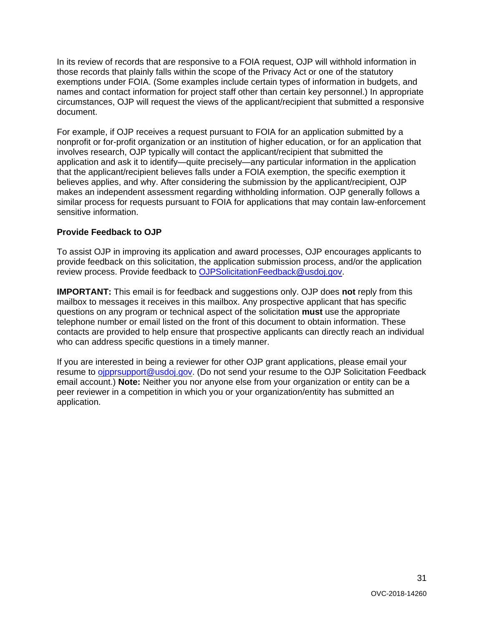In its review of records that are responsive to a FOIA request, OJP will withhold information in those records that plainly falls within the scope of the Privacy Act or one of the statutory exemptions under FOIA. (Some examples include certain types of information in budgets, and names and contact information for project staff other than certain key personnel.) In appropriate circumstances, OJP will request the views of the applicant/recipient that submitted a responsive document.

For example, if OJP receives a request pursuant to FOIA for an application submitted by a nonprofit or for-profit organization or an institution of higher education, or for an application that involves research, OJP typically will contact the applicant/recipient that submitted the application and ask it to identify—quite precisely—any particular information in the application that the applicant/recipient believes falls under a FOIA exemption, the specific exemption it believes applies, and why. After considering the submission by the applicant/recipient, OJP makes an independent assessment regarding withholding information. OJP generally follows a similar process for requests pursuant to FOIA for applications that may contain law-enforcement sensitive information.

#### <span id="page-30-0"></span>**Provide Feedback to OJP**

To assist OJP in improving its application and award processes, OJP encourages applicants to provide feedback on this solicitation, the application submission process, and/or the application review process. Provide feedback to [OJPSolicitationFeedback@usdoj.gov.](mailto:OJPSolicitationFeedback@usdoj.gov)

**IMPORTANT:** This email is for feedback and suggestions only. OJP does **not** reply from this mailbox to messages it receives in this mailbox. Any prospective applicant that has specific questions on any program or technical aspect of the solicitation **must** use the appropriate telephone number or email listed on the front of this document to obtain information. These contacts are provided to help ensure that prospective applicants can directly reach an individual who can address specific questions in a timely manner.

If you are interested in being a reviewer for other OJP grant applications, please email your resume to [ojpprsupport@usdoj.gov.](mailto:ojpprsupport@usdoj.gov) (Do not send your resume to the OJP Solicitation Feedback email account.) **Note:** Neither you nor anyone else from your organization or entity can be a peer reviewer in a competition in which you or your organization/entity has submitted an application.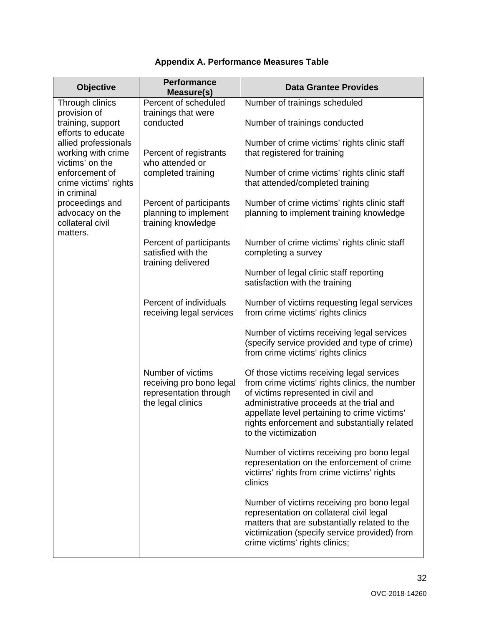<span id="page-31-0"></span>

| <b>Objective</b>                                                                                                                                                                                                                         | <b>Performance</b><br>Measure(s)                                                             | <b>Data Grantee Provides</b>                                                                                                                                                                                                                                                                           |
|------------------------------------------------------------------------------------------------------------------------------------------------------------------------------------------------------------------------------------------|----------------------------------------------------------------------------------------------|--------------------------------------------------------------------------------------------------------------------------------------------------------------------------------------------------------------------------------------------------------------------------------------------------------|
| Through clinics<br>provision of                                                                                                                                                                                                          | Percent of scheduled<br>trainings that were<br>conducted                                     | Number of trainings scheduled                                                                                                                                                                                                                                                                          |
| training, support<br>efforts to educate<br>allied professionals<br>working with crime<br>victims' on the<br>enforcement of<br>crime victims' rights<br>in criminal<br>proceedings and<br>advocacy on the<br>collateral civil<br>matters. |                                                                                              | Number of trainings conducted                                                                                                                                                                                                                                                                          |
|                                                                                                                                                                                                                                          | Percent of registrants<br>who attended or<br>completed training                              | Number of crime victims' rights clinic staff<br>that registered for training                                                                                                                                                                                                                           |
|                                                                                                                                                                                                                                          |                                                                                              | Number of crime victims' rights clinic staff<br>that attended/completed training                                                                                                                                                                                                                       |
|                                                                                                                                                                                                                                          | Percent of participants<br>planning to implement<br>training knowledge                       | Number of crime victims' rights clinic staff<br>planning to implement training knowledge                                                                                                                                                                                                               |
|                                                                                                                                                                                                                                          | Percent of participants<br>satisfied with the<br>training delivered                          | Number of crime victims' rights clinic staff<br>completing a survey                                                                                                                                                                                                                                    |
|                                                                                                                                                                                                                                          |                                                                                              | Number of legal clinic staff reporting<br>satisfaction with the training                                                                                                                                                                                                                               |
|                                                                                                                                                                                                                                          | Percent of individuals<br>receiving legal services                                           | Number of victims requesting legal services<br>from crime victims' rights clinics                                                                                                                                                                                                                      |
|                                                                                                                                                                                                                                          |                                                                                              | Number of victims receiving legal services<br>(specify service provided and type of crime)<br>from crime victims' rights clinics                                                                                                                                                                       |
|                                                                                                                                                                                                                                          | Number of victims<br>receiving pro bono legal<br>representation through<br>the legal clinics | Of those victims receiving legal services<br>from crime victims' rights clinics, the number<br>of victims represented in civil and<br>administrative proceeds at the trial and<br>appellate level pertaining to crime victims'<br>rights enforcement and substantially related<br>to the victimization |
|                                                                                                                                                                                                                                          |                                                                                              | Number of victims receiving pro bono legal<br>representation on the enforcement of crime<br>victims' rights from crime victims' rights<br>clinics                                                                                                                                                      |
|                                                                                                                                                                                                                                          |                                                                                              | Number of victims receiving pro bono legal<br>representation on collateral civil legal<br>matters that are substantially related to the<br>victimization (specify service provided) from<br>crime victims' rights clinics;                                                                             |

### **Appendix A. Performance Measures Table**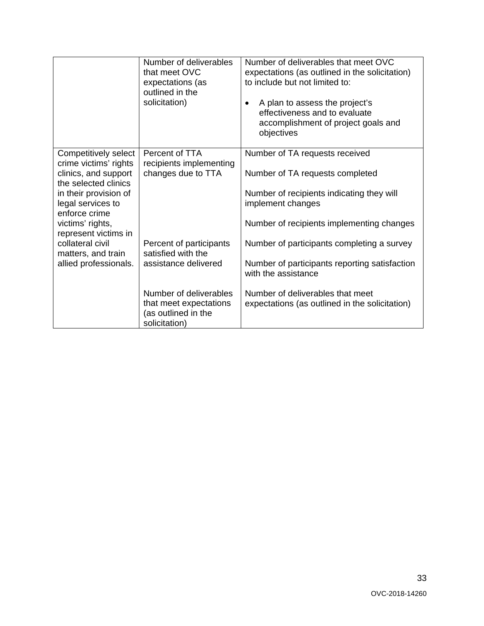|                                                                                                                                                                                                                                                                             | Number of deliverables<br>that meet OVC<br>expectations (as<br>outlined in the<br>solicitation) | Number of deliverables that meet OVC<br>expectations (as outlined in the solicitation)<br>to include but not limited to:<br>A plan to assess the project's<br>effectiveness and to evaluate<br>accomplishment of project goals and<br>objectives |
|-----------------------------------------------------------------------------------------------------------------------------------------------------------------------------------------------------------------------------------------------------------------------------|-------------------------------------------------------------------------------------------------|--------------------------------------------------------------------------------------------------------------------------------------------------------------------------------------------------------------------------------------------------|
| Competitively select<br>crime victims' rights<br>clinics, and support<br>the selected clinics<br>in their provision of<br>legal services to<br>enforce crime<br>victims' rights,<br>represent victims in<br>collateral civil<br>matters, and train<br>allied professionals. | Percent of TTA<br>recipients implementing                                                       | Number of TA requests received                                                                                                                                                                                                                   |
|                                                                                                                                                                                                                                                                             | changes due to TTA                                                                              | Number of TA requests completed                                                                                                                                                                                                                  |
|                                                                                                                                                                                                                                                                             |                                                                                                 | Number of recipients indicating they will<br>implement changes                                                                                                                                                                                   |
|                                                                                                                                                                                                                                                                             |                                                                                                 | Number of recipients implementing changes                                                                                                                                                                                                        |
|                                                                                                                                                                                                                                                                             | Percent of participants<br>satisfied with the<br>assistance delivered                           | Number of participants completing a survey                                                                                                                                                                                                       |
|                                                                                                                                                                                                                                                                             |                                                                                                 | Number of participants reporting satisfaction<br>with the assistance                                                                                                                                                                             |
|                                                                                                                                                                                                                                                                             | Number of deliverables<br>that meet expectations<br>(as outlined in the<br>solicitation)        | Number of deliverables that meet<br>expectations (as outlined in the solicitation)                                                                                                                                                               |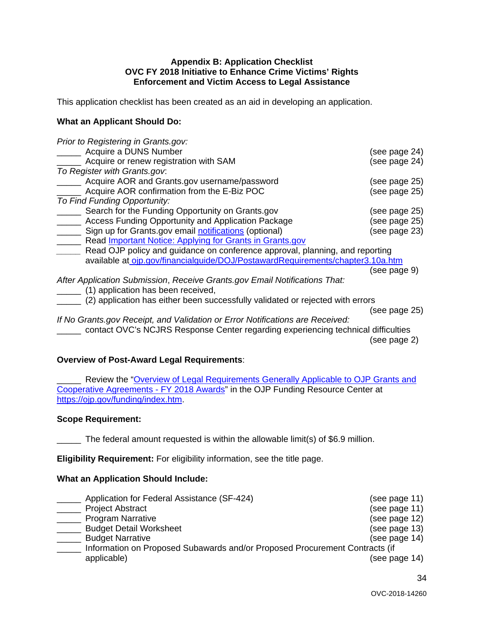#### **Appendix B: Application Checklist OVC FY 2018 Initiative to Enhance Crime Victims' Rights Enforcement and Victim Access to Legal Assistance**

<span id="page-33-0"></span>This application checklist has been created as an aid in developing an application.

#### **What an Applicant Should Do:**

| Prior to Registering in Grants.gov:                                               |               |
|-----------------------------------------------------------------------------------|---------------|
| Acquire a DUNS Number                                                             | (see page 24) |
| Acquire or renew registration with SAM                                            | (see page 24) |
| To Register with Grants.gov.                                                      |               |
| Acquire AOR and Grants.gov username/password                                      | (see page 25) |
| Acquire AOR confirmation from the E-Biz POC                                       | (see page 25) |
| To Find Funding Opportunity:                                                      |               |
| Search for the Funding Opportunity on Grants.gov                                  | (see page 25) |
| Access Funding Opportunity and Application Package                                | (see page 25) |
| Sign up for Grants.gov email notifications (optional)                             | (see page 23) |
| Read <b>Important Notice: Applying for Grants in Grants.gov</b>                   |               |
| Read OJP policy and guidance on conference approval, planning, and reporting      |               |
| available at oip.gov/financialquide/DOJ/PostawardRequirements/chapter3.10a.htm    |               |
|                                                                                   | (see page 9)  |
| After Application Submission, Receive Grants.gov Email Notifications That:        |               |
| (1) application has been received,                                                |               |
| (2) application has either been successfully validated or rejected with errors    |               |
|                                                                                   | (see page 25) |
| If No Grants.gov Receipt, and Validation or Error Notifications are Received:     |               |
| contact OVC's NCJRS Response Center regarding experiencing technical difficulties |               |
|                                                                                   | (see page 2)  |

#### **Overview of Post-Award Legal Requirements**:

Review the "Overview of Legal Requirements Generally Applicable to OJP Grants and [Cooperative Agreements -](https://ojp.gov/funding/Explore/LegalOverview/index.htm) FY 2018 Awards" in the OJP Funding Resource Center at [https://ojp.gov/funding/index.htm.](https://ojp.gov/funding/index.htm)

#### **Scope Requirement:**

\_\_\_\_\_ The federal amount requested is within the allowable limit(s) of \$6.9 million.

**Eligibility Requirement:** For eligibility information, see the title page.

#### **What an Application Should Include:**

| Application for Federal Assistance (SF-424)                                 | (see page 11) |
|-----------------------------------------------------------------------------|---------------|
| <b>Project Abstract</b>                                                     | (see page 11) |
| <b>Program Narrative</b>                                                    | (see page 12) |
| <b>Budget Detail Worksheet</b>                                              | (see page 13) |
| <b>Budget Narrative</b>                                                     | (see page 14) |
| Information on Proposed Subawards and/or Proposed Procurement Contracts (if |               |
| applicable)                                                                 | (see page 14) |
|                                                                             |               |

34